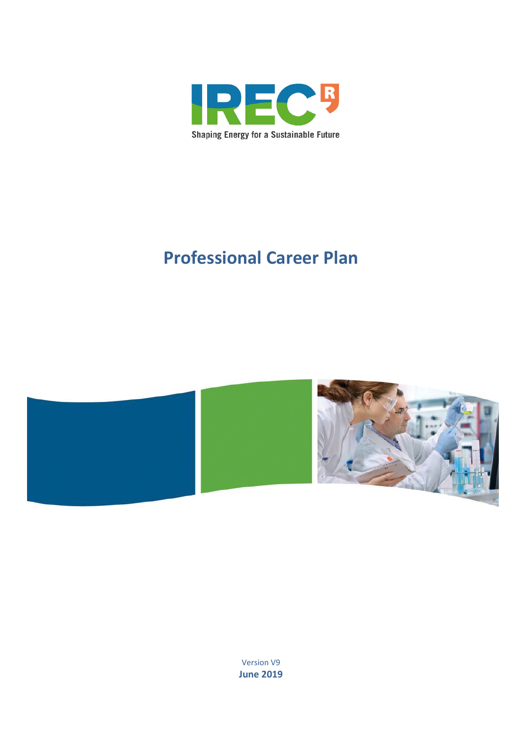

# **Professional Career Plan**



Version V9 **June 2019**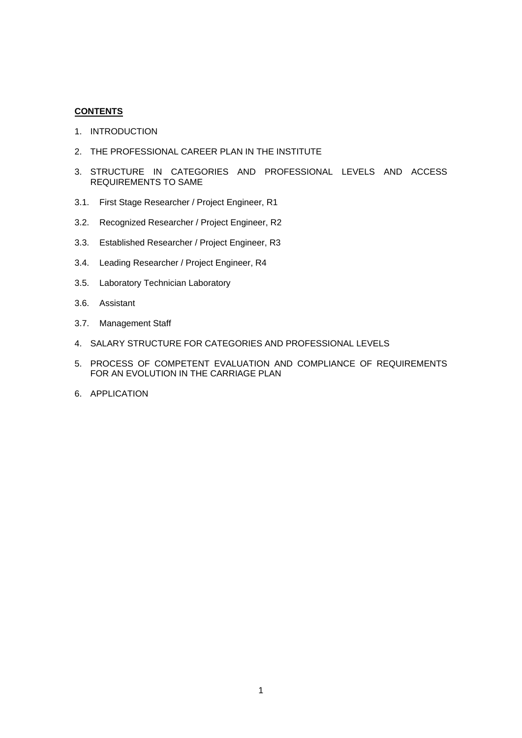## **CONTENTS**

- 1. INTRODUCTION
- 2. THE PROFESSIONAL CAREER PLAN IN THE INSTITUTE
- 3. STRUCTURE IN CATEGORIES AND PROFESSIONAL LEVELS AND ACCESS REQUIREMENTS TO SAME
- 3.1. First Stage Researcher / Project Engineer, R1
- 3.2. Recognized Researcher / Project Engineer, R2
- 3.3. Established Researcher / Project Engineer, R3
- 3.4. Leading Researcher / Project Engineer, R4
- 3.5. Laboratory Technician Laboratory
- 3.6. Assistant
- 3.7. Management Staff
- 4. SALARY STRUCTURE FOR CATEGORIES AND PROFESSIONAL LEVELS
- 5. PROCESS OF COMPETENT EVALUATION AND COMPLIANCE OF REQUIREMENTS FOR AN EVOLUTION IN THE CARRIAGE PLAN
- 6. APPLICATION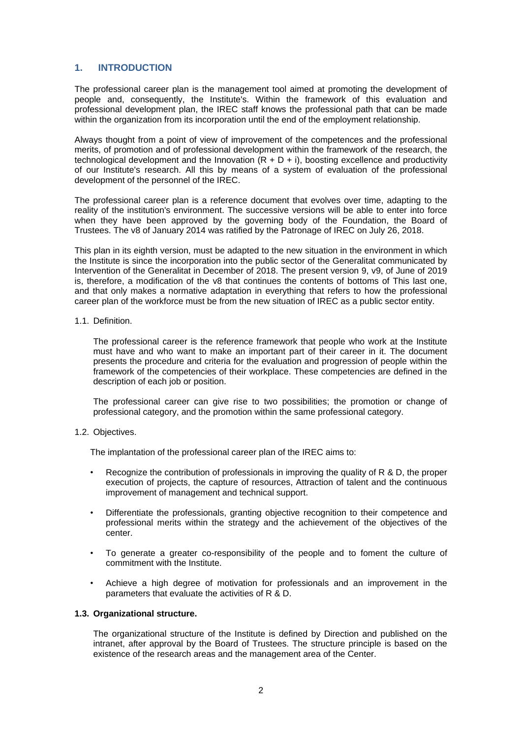# **1. INTRODUCTION**

The professional career plan is the management tool aimed at promoting the development of people and, consequently, the Institute's. Within the framework of this evaluation and professional development plan, the IREC staff knows the professional path that can be made within the organization from its incorporation until the end of the employment relationship.

Always thought from a point of view of improvement of the competences and the professional merits, of promotion and of professional development within the framework of the research, the technological development and the Innovation  $(R + D + i)$ , boosting excellence and productivity of our Institute's research. All this by means of a system of evaluation of the professional development of the personnel of the IREC.

The professional career plan is a reference document that evolves over time, adapting to the reality of the institution's environment. The successive versions will be able to enter into force when they have been approved by the governing body of the Foundation, the Board of Trustees. The v8 of January 2014 was ratified by the Patronage of IREC on July 26, 2018.

This plan in its eighth version, must be adapted to the new situation in the environment in which the Institute is since the incorporation into the public sector of the Generalitat communicated by Intervention of the Generalitat in December of 2018. The present version 9, v9, of June of 2019 is, therefore, a modification of the v8 that continues the contents of bottoms of This last one, and that only makes a normative adaptation in everything that refers to how the professional career plan of the workforce must be from the new situation of IREC as a public sector entity.

#### 1.1. Definition.

The professional career is the reference framework that people who work at the Institute must have and who want to make an important part of their career in it. The document presents the procedure and criteria for the evaluation and progression of people within the framework of the competencies of their workplace. These competencies are defined in the description of each job or position.

The professional career can give rise to two possibilities; the promotion or change of professional category, and the promotion within the same professional category.

#### 1.2. Objectives.

The implantation of the professional career plan of the IREC aims to:

- Recognize the contribution of professionals in improving the quality of R & D, the proper execution of projects, the capture of resources, Attraction of talent and the continuous improvement of management and technical support.
- Differentiate the professionals, granting objective recognition to their competence and professional merits within the strategy and the achievement of the objectives of the .<br>center.
- To generate a greater co-responsibility of the people and to foment the culture of commitment with the Institute.
- Achieve a high degree of motivation for professionals and an improvement in the parameters that evaluate the activities of R & D.

#### **1.3. Organizational structure.**

The organizational structure of the Institute is defined by Direction and published on the intranet, after approval by the Board of Trustees. The structure principle is based on the existence of the research areas and the management area of the Center.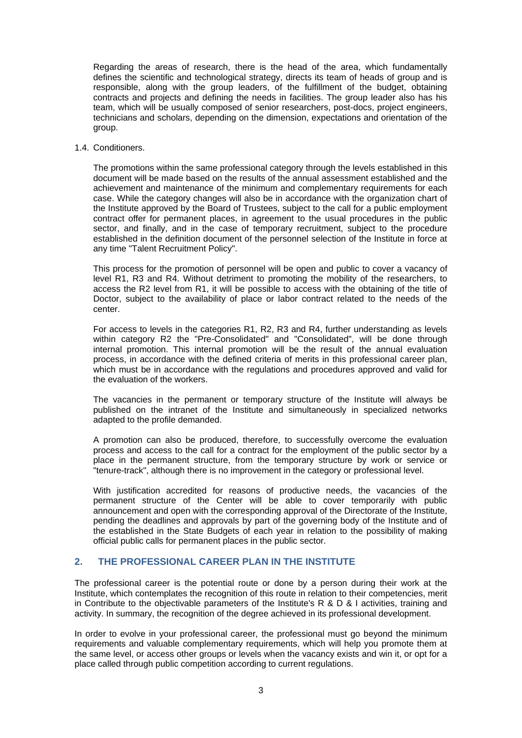Regarding the areas of research, there is the head of the area, which fundamentally defines the scientific and technological strategy, directs its team of heads of group and is responsible, along with the group leaders, of the fulfillment of the budget, obtaining contracts and projects and defining the needs in facilities. The group leader also has his team, which will be usually composed of senior researchers, post-docs, project engineers, technicians and scholars, depending on the dimension, expectations and orientation of the group.

#### 1.4. Conditioners.

The promotions within the same professional category through the levels established in this document will be made based on the results of the annual assessment established and the achievement and maintenance of the minimum and complementary requirements for each case. While the category changes will also be in accordance with the organization chart of the Institute approved by the Board of Trustees, subject to the call for a public employment contract offer for permanent places, in agreement to the usual procedures in the public sector, and finally, and in the case of temporary recruitment, subject to the procedure established in the definition document of the personnel selection of the Institute in force at any time "Talent Recruitment Policy".

This process for the promotion of personnel will be open and public to cover a vacancy of level R1, R3 and R4. Without detriment to promoting the mobility of the researchers, to access the R2 level from R1, it will be possible to access with the obtaining of the title of Doctor, subject to the availability of place or labor contract related to the needs of the center.

For access to levels in the categories R1, R2, R3 and R4, further understanding as levels within category R2 the "Pre-Consolidated" and "Consolidated", will be done through internal promotion. This internal promotion will be the result of the annual evaluation process, in accordance with the defined criteria of merits in this professional career plan, which must be in accordance with the regulations and procedures approved and valid for the evaluation of the workers.

The vacancies in the permanent or temporary structure of the Institute will always be published on the intranet of the Institute and simultaneously in specialized networks adapted to the profile demanded.

A promotion can also be produced, therefore, to successfully overcome the evaluation process and access to the call for a contract for the employment of the public sector by a place in the permanent structure, from the temporary structure by work or service or "tenure-track", although there is no improvement in the category or professional level.

With justification accredited for reasons of productive needs, the vacancies of the permanent structure of the Center will be able to cover temporarily with public announcement and open with the corresponding approval of the Directorate of the Institute, pending the deadlines and approvals by part of the governing body of the Institute and of the established in the State Budgets of each year in relation to the possibility of making official public calls for permanent places in the public sector.

# **2. THE PROFESSIONAL CAREER PLAN IN THE INSTITUTE**

The professional career is the potential route or done by a person during their work at the Institute, which contemplates the recognition of this route in relation to their competencies, merit in Contribute to the objectivable parameters of the Institute's R & D & I activities, training and activity. In summary, the recognition of the degree achieved in its professional development.

In order to evolve in your professional career, the professional must go beyond the minimum requirements and valuable complementary requirements, which will help you promote them at the same level, or access other groups or levels when the vacancy exists and win it, or opt for a place called through public competition according to current regulations.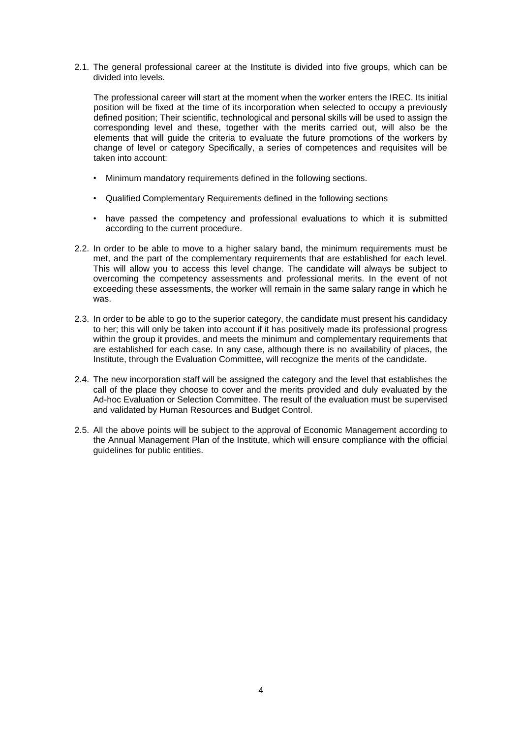2.1. The general professional career at the Institute is divided into five groups, which can be divided into levels.

The professional career will start at the moment when the worker enters the IREC. Its initial position will be fixed at the time of its incorporation when selected to occupy a previously defined position; Their scientific, technological and personal skills will be used to assign the corresponding level and these, together with the merits carried out, will also be the elements that will guide the criteria to evaluate the future promotions of the workers by change of level or category Specifically, a series of competences and requisites will be taken into account:

- Minimum mandatory requirements defined in the following sections.
- Qualified Complementary Requirements defined in the following sections
- have passed the competency and professional evaluations to which it is submitted according to the current procedure.
- 2.2. In order to be able to move to a higher salary band, the minimum requirements must be met, and the part of the complementary requirements that are established for each level. This will allow you to access this level change. The candidate will always be subject to overcoming the competency assessments and professional merits. In the event of not exceeding these assessments, the worker will remain in the same salary range in which he was.
- 2.3. In order to be able to go to the superior category, the candidate must present his candidacy to her; this will only be taken into account if it has positively made its professional progress within the group it provides, and meets the minimum and complementary requirements that are established for each case. In any case, although there is no availability of places, the Institute, through the Evaluation Committee, will recognize the merits of the candidate.
- 2.4. The new incorporation staff will be assigned the category and the level that establishes the call of the place they choose to cover and the merits provided and duly evaluated by the Ad-hoc Evaluation or Selection Committee. The result of the evaluation must be supervised and validated by Human Resources and Budget Control.
- 2.5. All the above points will be subject to the approval of Economic Management according to the Annual Management Plan of the Institute, which will ensure compliance with the official guidelines for public entities.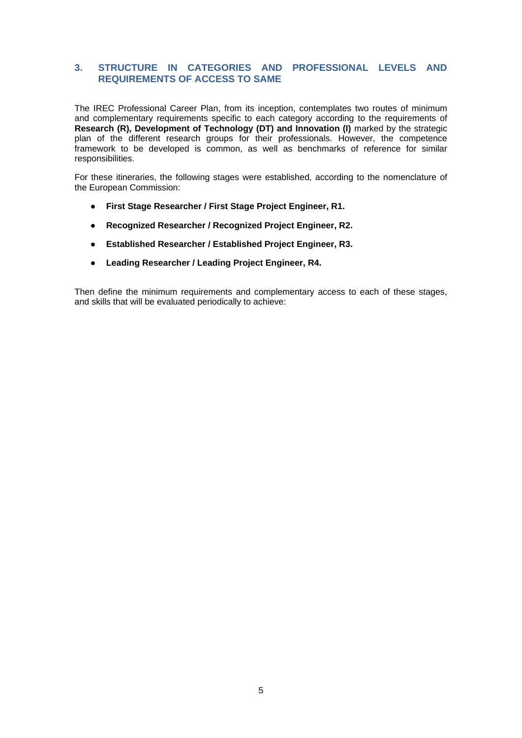# **3. STRUCTURE IN CATEGORIES AND PROFESSIONAL LEVELS AND REQUIREMENTS OF ACCESS TO SAME**

The IREC Professional Career Plan, from its inception, contemplates two routes of minimum and complementary requirements specific to each category according to the requirements of **Research (R), Development of Technology (DT) and Innovation (I)** marked by the strategic plan of the different research groups for their professionals. However, the competence framework to be developed is common, as well as benchmarks of reference for similar responsibilities.

For these itineraries, the following stages were established, according to the nomenclature of the European Commission:

- **First Stage Researcher / First Stage Project Engineer, R1.**
- **Recognized Researcher / Recognized Project Engineer, R2.**
- **Established Researcher / Established Project Engineer, R3.**
- **Leading Researcher / Leading Project Engineer, R4.**

Then define the minimum requirements and complementary access to each of these stages, and skills that will be evaluated periodically to achieve: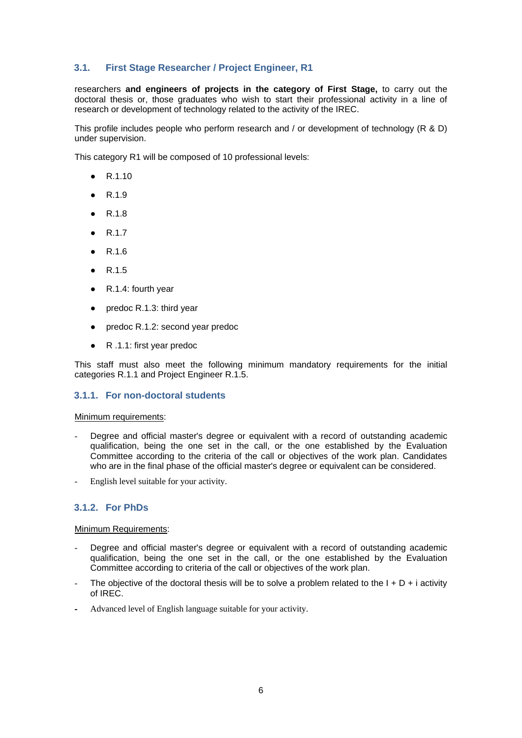# **3.1. First Stage Researcher / Project Engineer, R1**

researchers **and engineers of projects in the category of First Stage,** to carry out the doctoral thesis or, those graduates who wish to start their professional activity in a line of research or development of technology related to the activity of the IREC.

This profile includes people who perform research and / or development of technology (R & D) under supervision.

This category R1 will be composed of 10 professional levels:

- R.1.10
- R.1.9
- R.1.8
- R.1.7
- R.1.6
- R.1.5
- R.1.4: fourth year
- predoc R.1.3: third year
- predoc R.1.2: second year predoc
- R .1.1: first year predoc

This staff must also meet the following minimum mandatory requirements for the initial categories R.1.1 and Project Engineer R.1.5.

# **3.1.1. For non-doctoral students**

#### Minimum requirements:

- Degree and official master's degree or equivalent with a record of outstanding academic qualification, being the one set in the call, or the one established by the Evaluation Committee according to the criteria of the call or objectives of the work plan. Candidates who are in the final phase of the official master's degree or equivalent can be considered.
- English level suitable for your activity.

# **3.1.2. For PhDs**

Minimum Requirements:

- Degree and official master's degree or equivalent with a record of outstanding academic qualification, being the one set in the call, or the one established by the Evaluation Committee according to criteria of the call or objectives of the work plan.
- The objective of the doctoral thesis will be to solve a problem related to the  $I + D + i$  activity of IREC.
- Advanced level of English language suitable for your activity.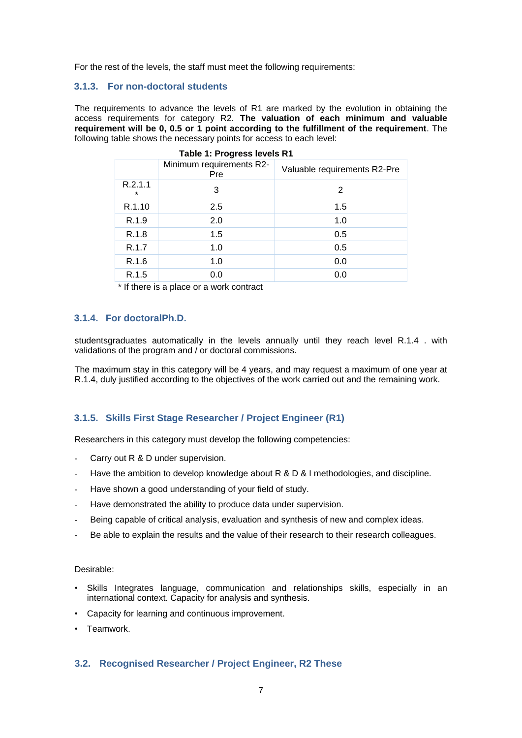For the rest of the levels, the staff must meet the following requirements:

# **3.1.3. For non-doctoral students**

The requirements to advance the levels of R1 are marked by the evolution in obtaining the access requirements for category R2. **The valuation of each minimum and valuable requirement will be 0, 0.5 or 1 point according to the fulfillment of the requirement**. The following table shows the necessary points for access to each level:

|                    | Minimum requirements R2-<br>Pre | Valuable requirements R2-Pre |
|--------------------|---------------------------------|------------------------------|
| R.2.1.1<br>$\star$ | 3                               | 2                            |
| R.1.10             | 2.5                             | 1.5                          |
| R.1.9              | 2.0                             | 1.0                          |
| R.1.8              | 1.5                             | 0.5                          |
| R.1.7              | 1.0                             | 0.5                          |
| R.1.6              | 1.0                             | 0.0                          |
| R.1.5              | 0.0                             | 0.0                          |

\* If there is a place or a work contract

# **3.1.4. For doctoralPh.D.**

studentsgraduates automatically in the levels annually until they reach level R.1.4 . with validations of the program and / or doctoral commissions.

The maximum stay in this category will be 4 years, and may request a maximum of one year at R.1.4, duly justified according to the objectives of the work carried out and the remaining work.

## **3.1.5. Skills First Stage Researcher / Project Engineer (R1)**

Researchers in this category must develop the following competencies:

- Carry out R & D under supervision.
- Have the ambition to develop knowledge about  $R \& D \& I$  methodologies, and discipline.
- Have shown a good understanding of your field of study.
- Have demonstrated the ability to produce data under supervision.
- Being capable of critical analysis, evaluation and synthesis of new and complex ideas.
- Be able to explain the results and the value of their research to their research colleagues.

#### Desirable:

- Skills Integrates language, communication and relationships skills, especially in an international context. Capacity for analysis and synthesis.
- Capacity for learning and continuous improvement.
- **Teamwork**

## **3.2. Recognised Researcher / Project Engineer, R2 These**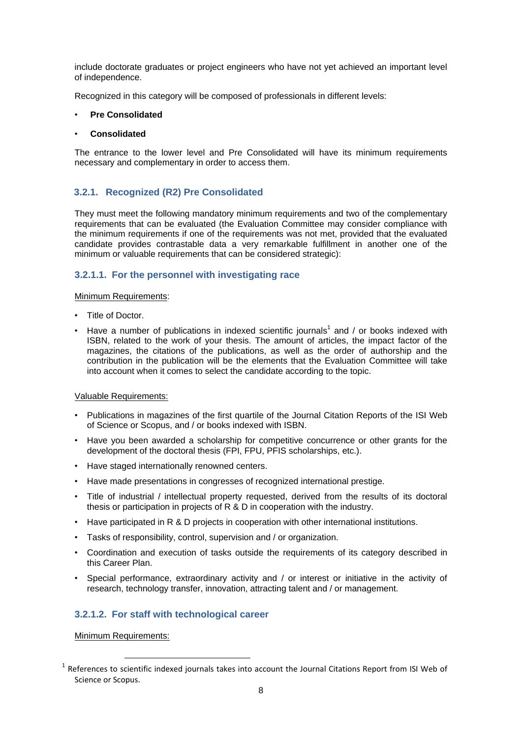include doctorate graduates or project engineers who have not yet achieved an important level of independence.

Recognized in this category will be composed of professionals in different levels:

## • **Pre Consolidated**

### • **Consolidated**

The entrance to the lower level and Pre Consolidated will have its minimum requirements necessary and complementary in order to access them.

# **3.2.1. Recognized (R2) Pre Consolidated**

They must meet the following mandatory minimum requirements and two of the complementary requirements that can be evaluated (the Evaluation Committee may consider compliance with the minimum requirements if one of the requirements was not met, provided that the evaluated candidate provides contrastable data a very remarkable fulfillment in another one of the minimum or valuable requirements that can be considered strategic):

# **3.2.1.1. For the personnel with investigating race**

## Minimum Requirements:

- Title of Doctor.
- Have a number of publications in indexed scientific journals<sup>1</sup> and / or books indexed with ISBN, related to the work of your thesis. The amount of articles, the impact factor of the magazines, the citations of the publications, as well as the order of authorship and the contribution in the publication will be the elements that the Evaluation Committee will take into account when it comes to select the candidate according to the topic.

#### Valuable Requirements:

- Publications in magazines of the first quartile of the Journal Citation Reports of the ISI Web of Science or Scopus, and / or books indexed with ISBN.
- Have you been awarded a scholarship for competitive concurrence or other grants for the development of the doctoral thesis (FPI, FPU, PFIS scholarships, etc.).
- Have staged internationally renowned centers.
- Have made presentations in congresses of recognized international prestige.
- Title of industrial / intellectual property requested, derived from the results of its doctoral thesis or participation in projects of R & D in cooperation with the industry.
- Have participated in R & D projects in cooperation with other international institutions.
- Tasks of responsibility, control, supervision and / or organization.
- Coordination and execution of tasks outside the requirements of its category described in this Career Plan.
- Special performance, extraordinary activity and / or interest or initiative in the activity of research, technology transfer, innovation, attracting talent and / or management.

## **3.2.1.2. For staff with technological career**

Minimum Requirements:

1

 $<sup>1</sup>$  References to scientific indexed journals takes into account the Journal Citations Report from ISI Web of</sup> Science or Scopus.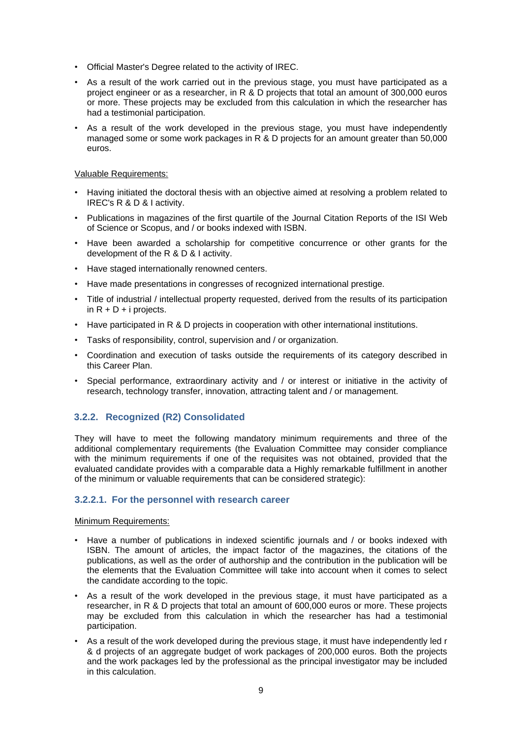- Official Master's Degree related to the activity of IREC.
- As a result of the work carried out in the previous stage, you must have participated as a project engineer or as a researcher, in R & D projects that total an amount of 300,000 euros or more. These projects may be excluded from this calculation in which the researcher has had a testimonial participation.
- As a result of the work developed in the previous stage, you must have independently managed some or some work packages in R & D projects for an amount greater than 50,000 euros.

## Valuable Requirements:

- Having initiated the doctoral thesis with an objective aimed at resolving a problem related to IREC's R & D & I activity.
- Publications in magazines of the first quartile of the Journal Citation Reports of the ISI Web of Science or Scopus, and / or books indexed with ISBN.
- Have been awarded a scholarship for competitive concurrence or other grants for the development of the R & D & I activity.
- Have staged internationally renowned centers.
- Have made presentations in congresses of recognized international prestige.
- Title of industrial / intellectual property requested, derived from the results of its participation in  $R + D + i$  projects.
- Have participated in R & D projects in cooperation with other international institutions.
- Tasks of responsibility, control, supervision and / or organization.
- Coordination and execution of tasks outside the requirements of its category described in this Career Plan.
- Special performance, extraordinary activity and / or interest or initiative in the activity of research, technology transfer, innovation, attracting talent and / or management.

# **3.2.2. Recognized (R2) Consolidated**

They will have to meet the following mandatory minimum requirements and three of the additional complementary requirements (the Evaluation Committee may consider compliance with the minimum requirements if one of the requisites was not obtained, provided that the evaluated candidate provides with a comparable data a Highly remarkable fulfillment in another of the minimum or valuable requirements that can be considered strategic):

## **3.2.2.1. For the personnel with research career**

### Minimum Requirements:

- Have a number of publications in indexed scientific journals and / or books indexed with ISBN. The amount of articles, the impact factor of the magazines, the citations of the publications, as well as the order of authorship and the contribution in the publication will be the elements that the Evaluation Committee will take into account when it comes to select the candidate according to the topic.
- As a result of the work developed in the previous stage, it must have participated as a researcher, in R & D projects that total an amount of 600,000 euros or more. These projects may be excluded from this calculation in which the researcher has had a testimonial participation.
- As a result of the work developed during the previous stage, it must have independently led r & d projects of an aggregate budget of work packages of 200,000 euros. Both the projects and the work packages led by the professional as the principal investigator may be included in this calculation.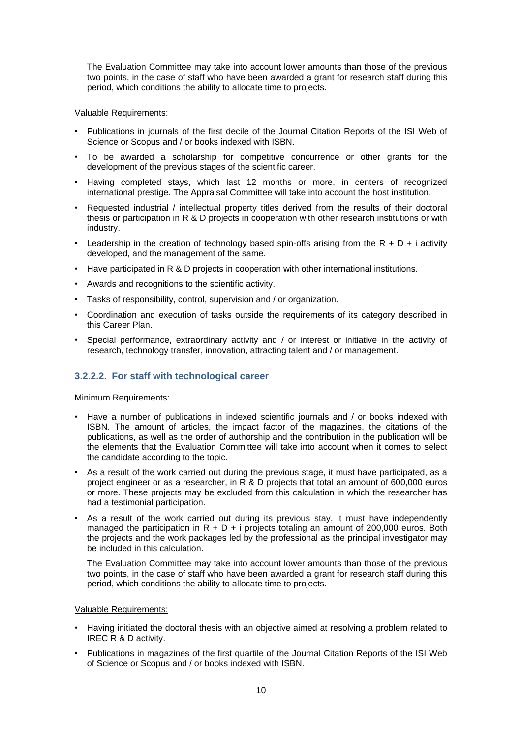The Evaluation Committee may take into account lower amounts than those of the previous two points, in the case of staff who have been awarded a grant for research staff during this period, which conditions the ability to allocate time to projects.

## Valuable Requirements:

- Publications in journals of the first decile of the Journal Citation Reports of the ISI Web of Science or Scopus and / or books indexed with ISBN.
- To be awarded a scholarship for competitive concurrence or other grants for the development of the previous stages of the scientific career.
- Having completed stays, which last 12 months or more, in centers of recognized international prestige. The Appraisal Committee will take into account the host institution.
- Requested industrial / intellectual property titles derived from the results of their doctoral thesis or participation in R & D projects in cooperation with other research institutions or with industry.
- Leadership in the creation of technology based spin-offs arising from the  $R + D + i$  activity developed, and the management of the same.
- Have participated in R & D projects in cooperation with other international institutions.
- Awards and recognitions to the scientific activity.
- Tasks of responsibility, control, supervision and / or organization.
- Coordination and execution of tasks outside the requirements of its category described in this Career Plan.
- Special performance, extraordinary activity and / or interest or initiative in the activity of research, technology transfer, innovation, attracting talent and / or management.

## **3.2.2.2. For staff with technological career**

#### Minimum Requirements:

- Have a number of publications in indexed scientific journals and / or books indexed with ISBN. The amount of articles, the impact factor of the magazines, the citations of the publications, as well as the order of authorship and the contribution in the publication will be the elements that the Evaluation Committee will take into account when it comes to select the candidate according to the topic.
- As a result of the work carried out during the previous stage, it must have participated, as a project engineer or as a researcher, in R & D projects that total an amount of 600,000 euros or more. These projects may be excluded from this calculation in which the researcher has had a testimonial participation.
- As a result of the work carried out during its previous stay, it must have independently managed the participation in  $R + D + i$  projects totaling an amount of 200,000 euros. Both the projects and the work packages led by the professional as the principal investigator may be included in this calculation.

The Evaluation Committee may take into account lower amounts than those of the previous two points, in the case of staff who have been awarded a grant for research staff during this period, which conditions the ability to allocate time to projects.

#### Valuable Requirements:

- Having initiated the doctoral thesis with an objective aimed at resolving a problem related to IREC R & D activity.
- Publications in magazines of the first quartile of the Journal Citation Reports of the ISI Web of Science or Scopus and / or books indexed with ISBN.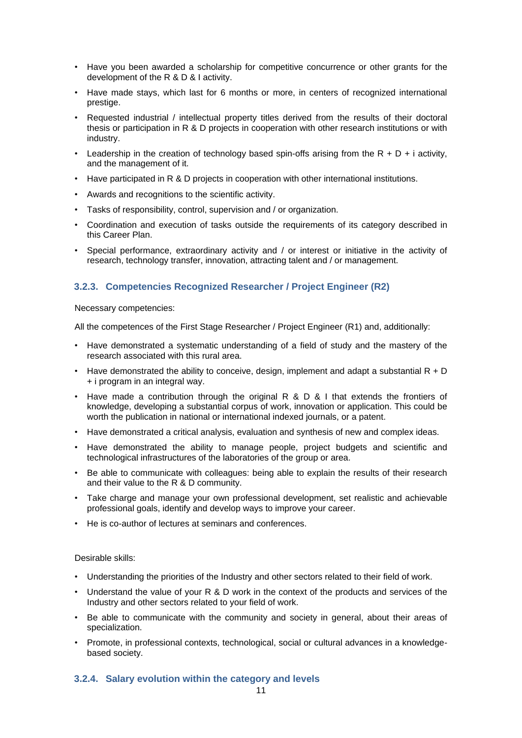- Have you been awarded a scholarship for competitive concurrence or other grants for the development of the R & D & I activity.
- Have made stays, which last for 6 months or more, in centers of recognized international prestige.
- Requested industrial / intellectual property titles derived from the results of their doctoral thesis or participation in R & D projects in cooperation with other research institutions or with industry.
- Leadership in the creation of technology based spin-offs arising from the  $R + D + i$  activity, and the management of it.
- Have participated in R & D projects in cooperation with other international institutions.
- Awards and recognitions to the scientific activity.
- Tasks of responsibility, control, supervision and / or organization.
- Coordination and execution of tasks outside the requirements of its category described in this Career Plan.
- Special performance, extraordinary activity and / or interest or initiative in the activity of research, technology transfer, innovation, attracting talent and / or management.

# **3.2.3. Competencies Recognized Researcher / Project Engineer (R2)**

Necessary competencies:

All the competences of the First Stage Researcher / Project Engineer (R1) and, additionally:

- Have demonstrated a systematic understanding of a field of study and the mastery of the research associated with this rural area.
- Have demonstrated the ability to conceive, design, implement and adapt a substantial  $R + D$ + i program in an integral way.
- Have made a contribution through the original R & D & I that extends the frontiers of knowledge, developing a substantial corpus of work, innovation or application. This could be worth the publication in national or international indexed journals, or a patent.
- Have demonstrated a critical analysis, evaluation and synthesis of new and complex ideas.
- Have demonstrated the ability to manage people, project budgets and scientific and technological infrastructures of the laboratories of the group or area.
- Be able to communicate with colleagues: being able to explain the results of their research and their value to the R & D community.
- Take charge and manage your own professional development, set realistic and achievable professional goals, identify and develop ways to improve your career.
- He is co-author of lectures at seminars and conferences.

Desirable skills:

- Understanding the priorities of the Industry and other sectors related to their field of work.
- Understand the value of your R & D work in the context of the products and services of the Industry and other sectors related to your field of work.
- Be able to communicate with the community and society in general, about their areas of specialization.
- Promote, in professional contexts, technological, social or cultural advances in a knowledgebased society.

## **3.2.4. Salary evolution within the category and levels**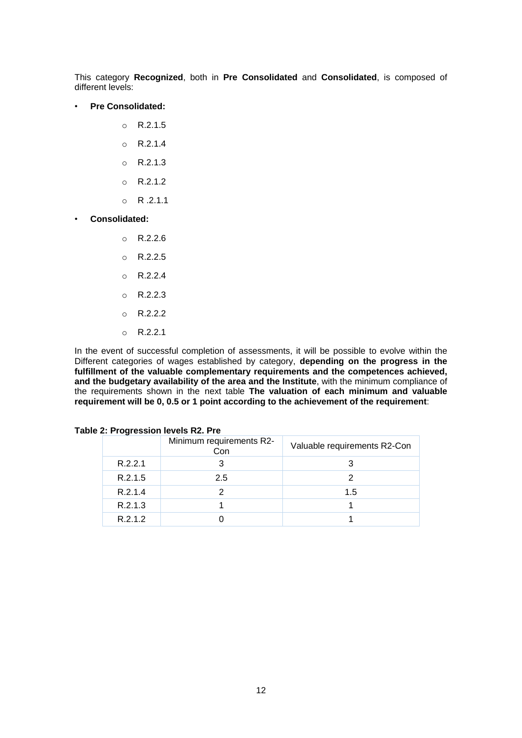This category **Recognized**, both in **Pre Consolidated** and **Consolidated**, is composed of different levels:

#### • **Pre Consolidated:**

- o R.2.1.5
- o R.2.1.4
- $O$  R.2.1.3
- o R.2.1.2
- $O$  R.2.1.1
- **Consolidated:**
	- o R.2.2.6
	- o R.2.2.5
	- o R.2.2.4
	- $O$  R.2.2.3
	- o R.2.2.2
	- o R.2.2.1

In the event of successful completion of assessments, it will be possible to evolve within the Different categories of wages established by category, **depending on the progress in the fulfillment of the valuable complementary requirements and the competences achieved, and the budgetary availability of the area and the Institute**, with the minimum compliance of the requirements shown in the next table **The valuation of each minimum and valuable requirement will be 0, 0.5 or 1 point according to the achievement of the requirement**:

| Z: Progression levels RZ. Pre |                                 |                              |  |  |  |
|-------------------------------|---------------------------------|------------------------------|--|--|--|
|                               | Minimum requirements R2-<br>Con | Valuable requirements R2-Con |  |  |  |
| R.2.2.1                       |                                 |                              |  |  |  |
| R.2.1.5                       | 2.5                             |                              |  |  |  |
| R.2.1.4                       |                                 | 1.5                          |  |  |  |
| R.2.1.3                       |                                 |                              |  |  |  |
| R.2.1.2                       |                                 |                              |  |  |  |

|  | Table 2: Progression levels R2. Pre |  |  |
|--|-------------------------------------|--|--|
|--|-------------------------------------|--|--|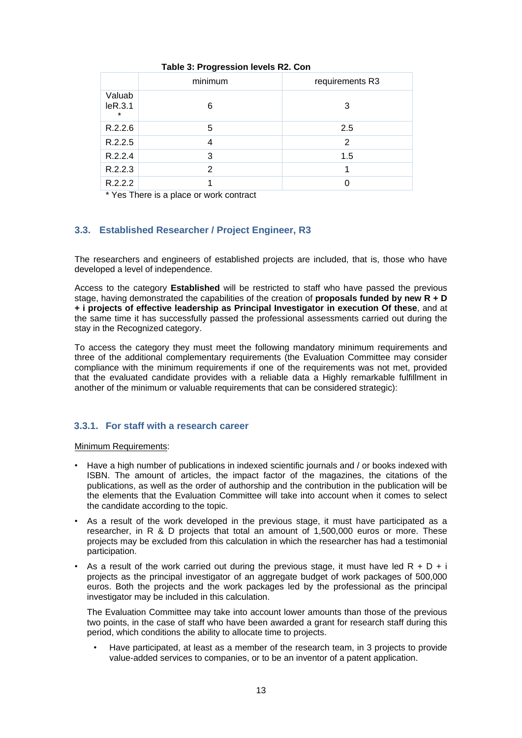|                              | minimum | requirements R3 |
|------------------------------|---------|-----------------|
| Valuab<br>IeR.3.1<br>$\star$ | 6       | 3               |
| R.2.2.6                      | 5       | 2.5             |
| R.2.2.5                      |         | 2               |
| R.2.2.4                      | 3       | 1.5             |
| R.2.2.3                      | 2       |                 |
| R.2.2.2                      |         |                 |

## **Table 3: Progression levels R2. Con**

\* Yes There is a place or work contract

# **3.3. Established Researcher / Project Engineer, R3**

The researchers and engineers of established projects are included, that is, those who have developed a level of independence.

Access to the category **Established** will be restricted to staff who have passed the previous stage, having demonstrated the capabilities of the creation of **proposals funded by new R + D + i projects of effective leadership as Principal Investigator in execution Of these**, and at the same time it has successfully passed the professional assessments carried out during the stay in the Recognized category.

To access the category they must meet the following mandatory minimum requirements and three of the additional complementary requirements (the Evaluation Committee may consider compliance with the minimum requirements if one of the requirements was not met, provided that the evaluated candidate provides with a reliable data a Highly remarkable fulfillment in another of the minimum or valuable requirements that can be considered strategic):

## **3.3.1. For staff with a research career**

#### Minimum Requirements:

- Have a high number of publications in indexed scientific journals and / or books indexed with ISBN. The amount of articles, the impact factor of the magazines, the citations of the publications, as well as the order of authorship and the contribution in the publication will be the elements that the Evaluation Committee will take into account when it comes to select the candidate according to the topic.
- As a result of the work developed in the previous stage, it must have participated as a researcher, in R & D projects that total an amount of 1,500,000 euros or more. These projects may be excluded from this calculation in which the researcher has had a testimonial participation.
- As a result of the work carried out during the previous stage, it must have led  $R + D + i$ projects as the principal investigator of an aggregate budget of work packages of 500,000 euros. Both the projects and the work packages led by the professional as the principal investigator may be included in this calculation.

The Evaluation Committee may take into account lower amounts than those of the previous two points, in the case of staff who have been awarded a grant for research staff during this period, which conditions the ability to allocate time to projects.

• Have participated, at least as a member of the research team, in 3 projects to provide value-added services to companies, or to be an inventor of a patent application.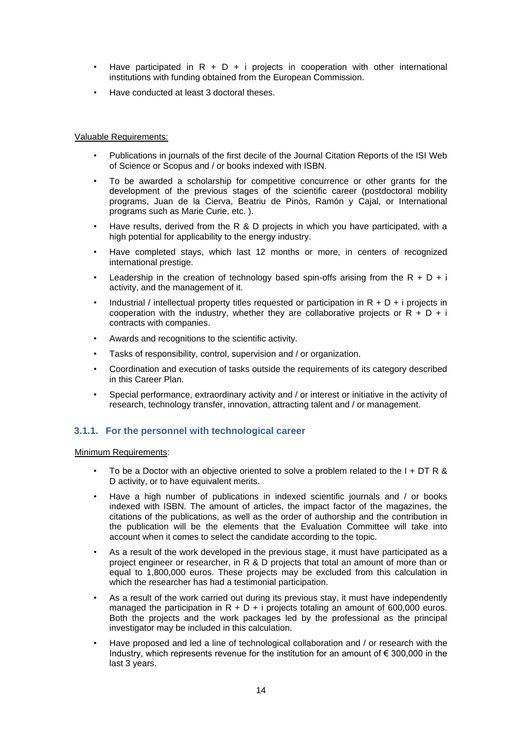- Have participated in  $R + D + i$  projects in cooperation with other international institutions with funding obtained from the European Commission.
- Have conducted at least 3 doctoral theses.

### Valuable Requirements:

- Publications in journals of the first decile of the Journal Citation Reports of the ISI Web of Science or Scopus and / or books indexed with ISBN.
- To be awarded a scholarship for competitive concurrence or other grants for the development of the previous stages of the scientific career (postdoctoral mobility programs, Juan de la Cierva, Beatriu de Pinòs, Ramón y Cajal, or International programs such as Marie Curie, etc. ).
- Have results, derived from the R & D projects in which you have participated, with a high potential for applicability to the energy industry.
- Have completed stays, which last 12 months or more, in centers of recognized international prestige.
- Leadership in the creation of technology based spin-offs arising from the  $R + D + i$ activity, and the management of it.
- Industrial / intellectual property titles requested or participation in  $R + D + i$  projects in cooperation with the industry, whether they are collaborative projects or  $R + D + i$ contracts with companies.
- Awards and recognitions to the scientific activity.
- Tasks of responsibility, control, supervision and / or organization.
- Coordination and execution of tasks outside the requirements of its category described in this Career Plan.
- Special performance, extraordinary activity and / or interest or initiative in the activity of research, technology transfer, innovation, attracting talent and / or management.

## **3.1.1. For the personnel with technological career**

Minimum Requirements:

- To be a Doctor with an objective oriented to solve a problem related to the  $I + DT R &$ D activity, or to have equivalent merits.
- Have a high number of publications in indexed scientific journals and / or books indexed with ISBN. The amount of articles, the impact factor of the magazines, the citations of the publications, as well as the order of authorship and the contribution in the publication will be the elements that the Evaluation Committee will take into account when it comes to select the candidate according to the topic.
- As a result of the work developed in the previous stage, it must have participated as a project engineer or researcher, in R & D projects that total an amount of more than or equal to 1,800,000 euros. These projects may be excluded from this calculation in which the researcher has had a testimonial participation.
- As a result of the work carried out during its previous stay, it must have independently managed the participation in  $R + D + i$  projects totaling an amount of 600,000 euros. Both the projects and the work packages led by the professional as the principal investigator may be included in this calculation.
- Have proposed and led a line of technological collaboration and / or research with the Industry, which represents revenue for the institution for an amount of  $\epsilon$  300,000 in the last 3 years.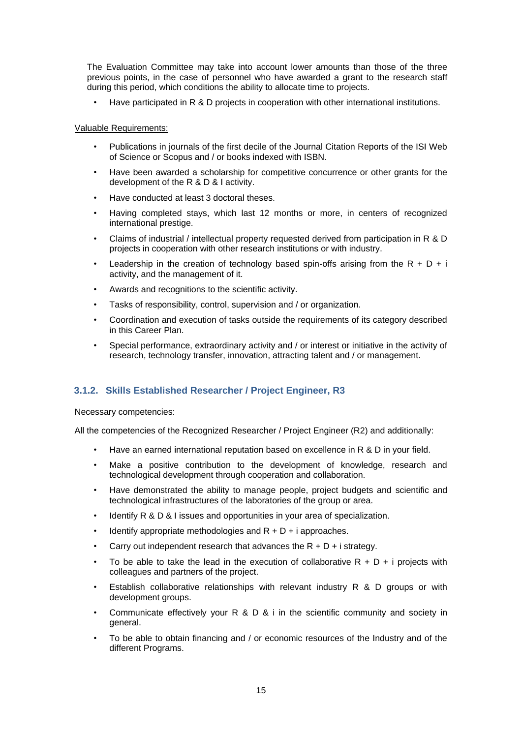The Evaluation Committee may take into account lower amounts than those of the three previous points, in the case of personnel who have awarded a grant to the research staff during this period, which conditions the ability to allocate time to projects.

• Have participated in R & D projects in cooperation with other international institutions.

### Valuable Requirements:

- Publications in journals of the first decile of the Journal Citation Reports of the ISI Web of Science or Scopus and / or books indexed with ISBN.
- Have been awarded a scholarship for competitive concurrence or other grants for the development of the R & D & I activity.
- Have conducted at least 3 doctoral theses.
- Having completed stays, which last 12 months or more, in centers of recognized international prestige.
- Claims of industrial / intellectual property requested derived from participation in R & D projects in cooperation with other research institutions or with industry.
- Leadership in the creation of technology based spin-offs arising from the R + D + i activity, and the management of it.
- Awards and recognitions to the scientific activity.
- Tasks of responsibility, control, supervision and / or organization.
- Coordination and execution of tasks outside the requirements of its category described in this Career Plan.
- Special performance, extraordinary activity and / or interest or initiative in the activity of research, technology transfer, innovation, attracting talent and / or management.

# **3.1.2. Skills Established Researcher / Project Engineer, R3**

Necessary competencies:

All the competencies of the Recognized Researcher / Project Engineer (R2) and additionally:

- Have an earned international reputation based on excellence in R & D in your field.
- Make a positive contribution to the development of knowledge, research and technological development through cooperation and collaboration.
- Have demonstrated the ability to manage people, project budgets and scientific and technological infrastructures of the laboratories of the group or area.
- Identify R & D & I issues and opportunities in your area of specialization.
- Identify appropriate methodologies and  $R + D + i$  approaches.
- Carry out independent research that advances the  $R + D + i$  strategy.
- To be able to take the lead in the execution of collaborative  $R + D + i$  projects with colleagues and partners of the project.
- Establish collaborative relationships with relevant industry R  $\&$  D groups or with development groups.
- Communicate effectively your R & D & i in the scientific community and society in general.
- To be able to obtain financing and / or economic resources of the Industry and of the different Programs.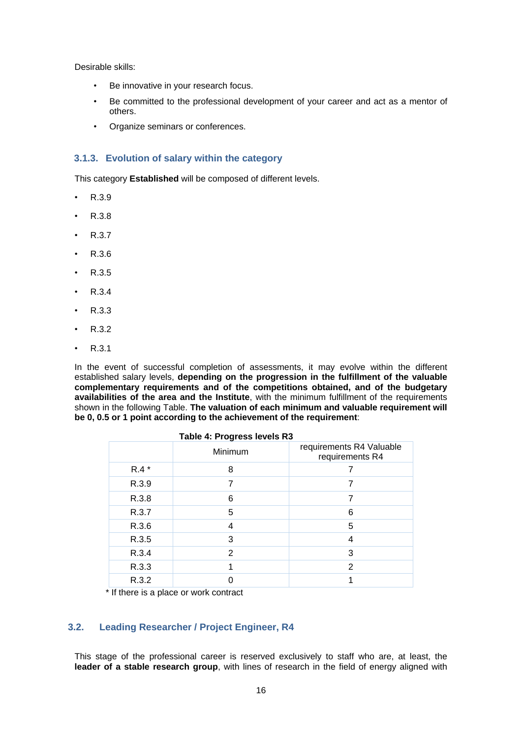Desirable skills:

- Be innovative in your research focus.
- Be committed to the professional development of your career and act as a mentor of others.
- Organize seminars or conferences.

# **3.1.3. Evolution of salary within the category**

This category **Established** will be composed of different levels.

- R.3.9
- R.3.8
- R.3.7
- R.3.6
- R.3.5
- $\cdot$  R.3.4
- R.3.3
- R.3.2
- R.3.1

In the event of successful completion of assessments, it may evolve within the different established salary levels, **depending on the progression in the fulfillment of the valuable complementary requirements and of the competitions obtained, and of the budgetary availabilities of the area and the Institute**, with the minimum fulfillment of the requirements shown in the following Table. **The valuation of each minimum and valuable requirement will be 0, 0.5 or 1 point according to the achievement of the requirement**:

| Table 4: Progress levels R3 |         |                                             |  |  |
|-----------------------------|---------|---------------------------------------------|--|--|
|                             | Minimum | requirements R4 Valuable<br>requirements R4 |  |  |
| $R.4*$                      | 8       |                                             |  |  |
| R.3.9                       |         |                                             |  |  |
| R.3.8                       | 6       |                                             |  |  |
| R.3.7                       | 5       | 6                                           |  |  |
| R.3.6                       | 4       | 5                                           |  |  |
| R.3.5                       | 3       | 4                                           |  |  |
| R.3.4                       | 2       | 3                                           |  |  |
| R.3.3                       |         | $\mathcal{P}$                               |  |  |
| R.3.2                       |         |                                             |  |  |

\* If there is a place or work contract

## **3.2. Leading Researcher / Project Engineer, R4**

This stage of the professional career is reserved exclusively to staff who are, at least, the **leader of a stable research group**, with lines of research in the field of energy aligned with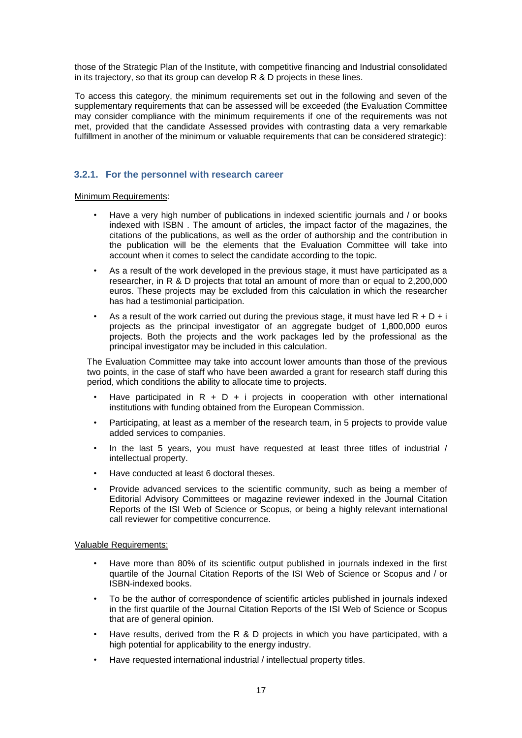those of the Strategic Plan of the Institute, with competitive financing and Industrial consolidated in its trajectory, so that its group can develop R & D projects in these lines.

To access this category, the minimum requirements set out in the following and seven of the supplementary requirements that can be assessed will be exceeded (the Evaluation Committee may consider compliance with the minimum requirements if one of the requirements was not met, provided that the candidate Assessed provides with contrasting data a very remarkable fulfillment in another of the minimum or valuable requirements that can be considered strategic):

# **3.2.1. For the personnel with research career**

Minimum Requirements:

- Have a very high number of publications in indexed scientific journals and / or books indexed with ISBN . The amount of articles, the impact factor of the magazines, the citations of the publications, as well as the order of authorship and the contribution in the publication will be the elements that the Evaluation Committee will take into account when it comes to select the candidate according to the topic.
- As a result of the work developed in the previous stage, it must have participated as a researcher, in R & D projects that total an amount of more than or equal to 2,200,000 euros. These projects may be excluded from this calculation in which the researcher has had a testimonial participation.
- As a result of the work carried out during the previous stage, it must have led  $R + D + i$ projects as the principal investigator of an aggregate budget of 1,800,000 euros projects. Both the projects and the work packages led by the professional as the principal investigator may be included in this calculation.

The Evaluation Committee may take into account lower amounts than those of the previous two points, in the case of staff who have been awarded a grant for research staff during this period, which conditions the ability to allocate time to projects.

- Have participated in  $R + D + i$  projects in cooperation with other international institutions with funding obtained from the European Commission.
- Participating, at least as a member of the research team, in 5 projects to provide value added services to companies.
- In the last 5 years, you must have requested at least three titles of industrial / intellectual property.
- Have conducted at least 6 doctoral theses.
- Provide advanced services to the scientific community, such as being a member of Editorial Advisory Committees or magazine reviewer indexed in the Journal Citation Reports of the ISI Web of Science or Scopus, or being a highly relevant international call reviewer for competitive concurrence.

Valuable Requirements:

- Have more than 80% of its scientific output published in journals indexed in the first quartile of the Journal Citation Reports of the ISI Web of Science or Scopus and / or ISBN-indexed books.
- To be the author of correspondence of scientific articles published in journals indexed in the first quartile of the Journal Citation Reports of the ISI Web of Science or Scopus that are of general opinion.
- Have results, derived from the R  $\&$  D projects in which you have participated, with a high potential for applicability to the energy industry.
- Have requested international industrial / intellectual property titles.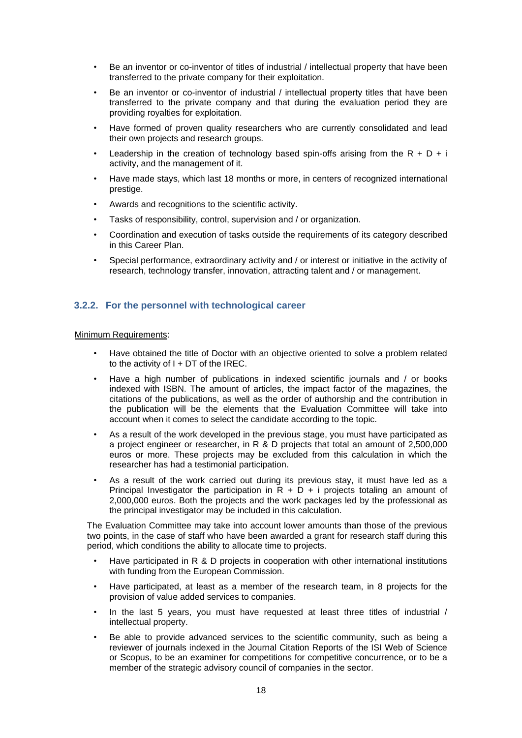- Be an inventor or co-inventor of titles of industrial / intellectual property that have been transferred to the private company for their exploitation.
- Be an inventor or co-inventor of industrial / intellectual property titles that have been transferred to the private company and that during the evaluation period they are providing royalties for exploitation.
- Have formed of proven quality researchers who are currently consolidated and lead their own projects and research groups.
- Leadership in the creation of technology based spin-offs arising from the  $R + D + i$ activity, and the management of it.
- Have made stays, which last 18 months or more, in centers of recognized international prestige.
- Awards and recognitions to the scientific activity.
- Tasks of responsibility, control, supervision and / or organization.
- Coordination and execution of tasks outside the requirements of its category described in this Career Plan.
- Special performance, extraordinary activity and / or interest or initiative in the activity of research, technology transfer, innovation, attracting talent and / or management.

## **3.2.2. For the personnel with technological career**

#### Minimum Requirements:

- Have obtained the title of Doctor with an objective oriented to solve a problem related to the activity of  $I + DT$  of the IREC.
- Have a high number of publications in indexed scientific journals and / or books indexed with ISBN. The amount of articles, the impact factor of the magazines, the citations of the publications, as well as the order of authorship and the contribution in the publication will be the elements that the Evaluation Committee will take into account when it comes to select the candidate according to the topic.
- As a result of the work developed in the previous stage, you must have participated as a project engineer or researcher, in R & D projects that total an amount of 2,500,000 euros or more. These projects may be excluded from this calculation in which the researcher has had a testimonial participation.
- As a result of the work carried out during its previous stay, it must have led as a Principal Investigator the participation in  $R + D + i$  projects totaling an amount of 2,000,000 euros. Both the projects and the work packages led by the professional as the principal investigator may be included in this calculation.

The Evaluation Committee may take into account lower amounts than those of the previous two points, in the case of staff who have been awarded a grant for research staff during this period, which conditions the ability to allocate time to projects.

- Have participated in R & D projects in cooperation with other international institutions with funding from the European Commission.
- Have participated, at least as a member of the research team, in 8 projects for the provision of value added services to companies.
- In the last 5 years, you must have requested at least three titles of industrial / intellectual property.
- Be able to provide advanced services to the scientific community, such as being a reviewer of journals indexed in the Journal Citation Reports of the ISI Web of Science or Scopus, to be an examiner for competitions for competitive concurrence, or to be a member of the strategic advisory council of companies in the sector.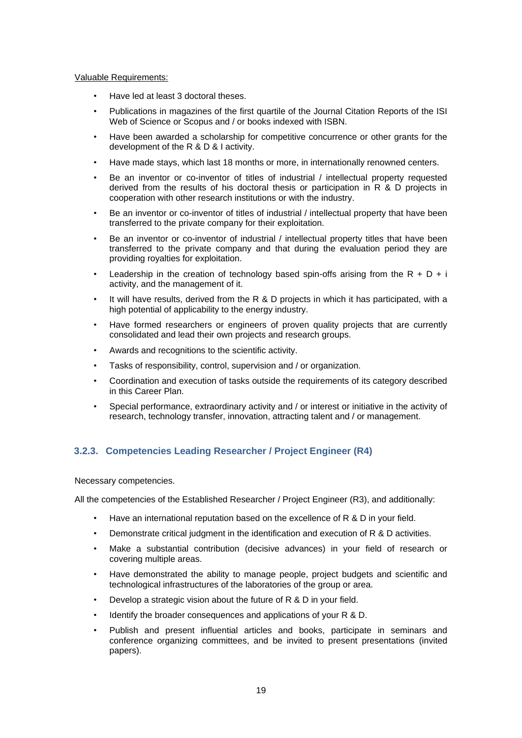#### Valuable Requirements:

- Have led at least 3 doctoral theses.
- Publications in magazines of the first quartile of the Journal Citation Reports of the ISI Web of Science or Scopus and / or books indexed with ISBN.
- Have been awarded a scholarship for competitive concurrence or other grants for the development of the R & D & I activity.
- Have made stays, which last 18 months or more, in internationally renowned centers.
- Be an inventor or co-inventor of titles of industrial / intellectual property requested derived from the results of his doctoral thesis or participation in R & D projects in cooperation with other research institutions or with the industry.
- Be an inventor or co-inventor of titles of industrial / intellectual property that have been transferred to the private company for their exploitation.
- Be an inventor or co-inventor of industrial / intellectual property titles that have been transferred to the private company and that during the evaluation period they are providing royalties for exploitation.
- Leadership in the creation of technology based spin-offs arising from the R + D + i activity, and the management of it.
- $\cdot$  It will have results, derived from the R & D projects in which it has participated, with a high potential of applicability to the energy industry.
- Have formed researchers or engineers of proven quality projects that are currently consolidated and lead their own projects and research groups.
- Awards and recognitions to the scientific activity.
- Tasks of responsibility, control, supervision and / or organization.
- Coordination and execution of tasks outside the requirements of its category described in this Career Plan.
- Special performance, extraordinary activity and / or interest or initiative in the activity of research, technology transfer, innovation, attracting talent and / or management.

# **3.2.3. Competencies Leading Researcher / Project Engineer (R4)**

Necessary competencies.

All the competencies of the Established Researcher / Project Engineer (R3), and additionally:

- Have an international reputation based on the excellence of R & D in your field.
- Demonstrate critical judgment in the identification and execution of R & D activities.
- Make a substantial contribution (decisive advances) in your field of research or covering multiple areas.
- Have demonstrated the ability to manage people, project budgets and scientific and technological infrastructures of the laboratories of the group or area.
- Develop a strategic vision about the future of R & D in your field.
- Identify the broader consequences and applications of your R & D.
- Publish and present influential articles and books, participate in seminars and conference organizing committees, and be invited to present presentations (invited papers).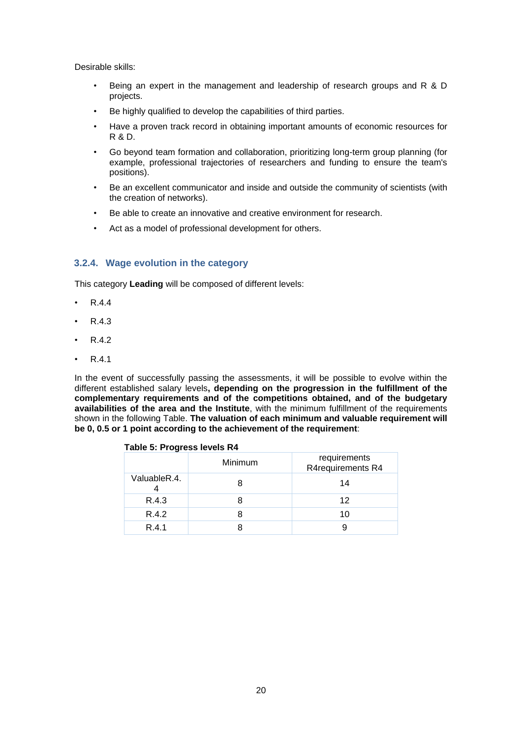Desirable skills:

- Being an expert in the management and leadership of research groups and R & D projects.
- Be highly qualified to develop the capabilities of third parties.
- Have a proven track record in obtaining important amounts of economic resources for R & D.
- Go beyond team formation and collaboration, prioritizing long-term group planning (for example, professional trajectories of researchers and funding to ensure the team's positions).
- Be an excellent communicator and inside and outside the community of scientists (with the creation of networks).
- Be able to create an innovative and creative environment for research.
- Act as a model of professional development for others.

# **3.2.4. Wage evolution in the category**

This category **Leading** will be composed of different levels:

- R.4.4
- R.4.3
- R.4.2
- R.4.1

In the event of successfully passing the assessments, it will be possible to evolve within the different established salary levels**, depending on the progression in the fulfillment of the complementary requirements and of the competitions obtained, and of the budgetary availabilities of the area and the Institute**, with the minimum fulfillment of the requirements shown in the following Table. **The valuation of each minimum and valuable requirement will be 0, 0.5 or 1 point according to the achievement of the requirement**:

### **Table 5: Progress levels R4**

|              | Minimum | requirements<br>R4requirements R4 |
|--------------|---------|-----------------------------------|
| ValuableR.4. |         | 14                                |
| R.4.3        |         | 12                                |
| R.4.2        |         | 10                                |
| R.4.1        |         |                                   |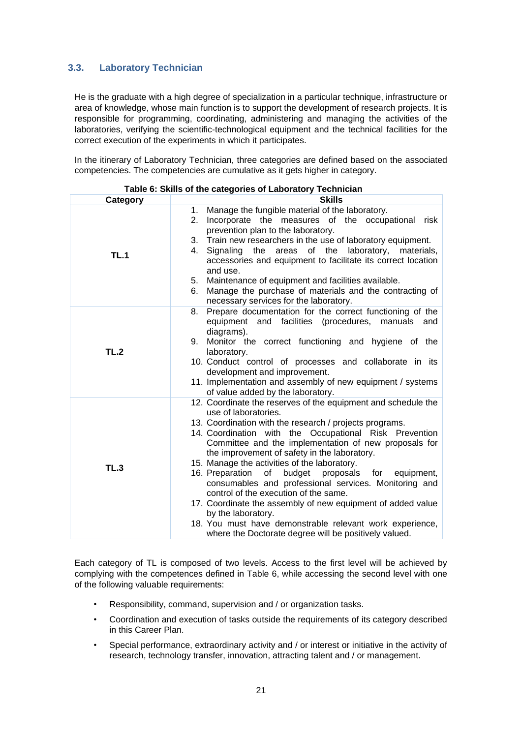# **3.3. Laboratory Technician**

He is the graduate with a high degree of specialization in a particular technique, infrastructure or area of knowledge, whose main function is to support the development of research projects. It is responsible for programming, coordinating, administering and managing the activities of the laboratories, verifying the scientific-technological equipment and the technical facilities for the correct execution of the experiments in which it participates.

In the itinerary of Laboratory Technician, three categories are defined based on the associated competencies. The competencies are cumulative as it gets higher in category.

| Category    | <b>Skills</b>                                                                                                                                                                                                                                                                                                                                                                                                                                                                                                                                                                                                                                                                                                                               |  |  |
|-------------|---------------------------------------------------------------------------------------------------------------------------------------------------------------------------------------------------------------------------------------------------------------------------------------------------------------------------------------------------------------------------------------------------------------------------------------------------------------------------------------------------------------------------------------------------------------------------------------------------------------------------------------------------------------------------------------------------------------------------------------------|--|--|
| <b>TL.1</b> | Manage the fungible material of the laboratory.<br>1.<br>Incorporate the measures of the occupational<br>2.<br>risk<br>prevention plan to the laboratory.<br>3. Train new researchers in the use of laboratory equipment.<br>the areas<br>of the<br>laboratory,<br>Signaling<br>4.<br>materials,<br>accessories and equipment to facilitate its correct location<br>and use.<br>5. Maintenance of equipment and facilities available.<br>Manage the purchase of materials and the contracting of<br>6.<br>necessary services for the laboratory.                                                                                                                                                                                            |  |  |
| TL.2        | Prepare documentation for the correct functioning of the<br>8.<br>equipment and facilities (procedures, manuals and<br>diagrams).<br>9. Monitor the correct functioning and hygiene of the<br>laboratory.<br>10. Conduct control of processes and collaborate in its<br>development and improvement.<br>11. Implementation and assembly of new equipment / systems<br>of value added by the laboratory.                                                                                                                                                                                                                                                                                                                                     |  |  |
| TL.3        | 12. Coordinate the reserves of the equipment and schedule the<br>use of laboratories.<br>13. Coordination with the research / projects programs.<br>14. Coordination with the Occupational Risk Prevention<br>Committee and the implementation of new proposals for<br>the improvement of safety in the laboratory.<br>15. Manage the activities of the laboratory.<br>of budget proposals for<br>16. Preparation<br>equipment,<br>consumables and professional services. Monitoring and<br>control of the execution of the same.<br>17. Coordinate the assembly of new equipment of added value<br>by the laboratory.<br>18. You must have demonstrable relevant work experience,<br>where the Doctorate degree will be positively valued. |  |  |

**Table 6: Skills of the categories of Laboratory Technician**

Each category of TL is composed of two levels. Access to the first level will be achieved by complying with the competences defined in Table 6, while accessing the second level with one of the following valuable requirements:

- Responsibility, command, supervision and / or organization tasks.
- Coordination and execution of tasks outside the requirements of its category described in this Career Plan.
- Special performance, extraordinary activity and / or interest or initiative in the activity of research, technology transfer, innovation, attracting talent and / or management.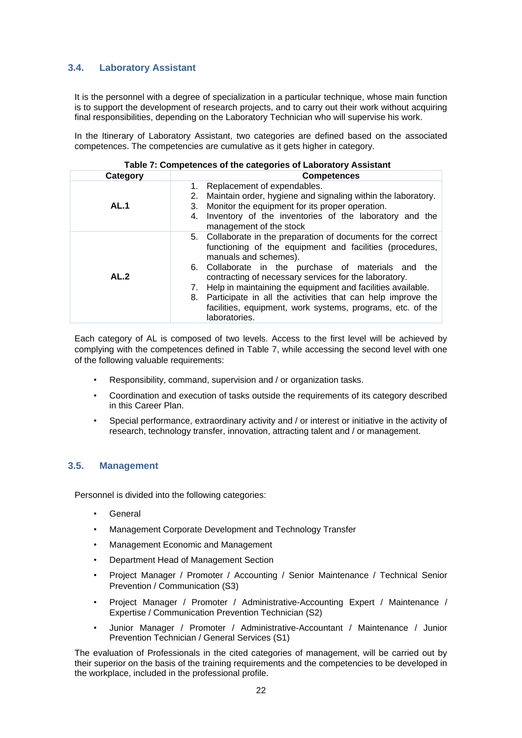# **3.4. Laboratory Assistant**

It is the personnel with a degree of specialization in a particular technique, whose main function is to support the development of research projects, and to carry out their work without acquiring final responsibilities, depending on the Laboratory Technician who will supervise his work.

In the Itinerary of Laboratory Assistant, two categories are defined based on the associated competences. The competencies are cumulative as it gets higher in category.

|             | Table 7: Competences of the categories of Laboratory Assistant                                                                                                                                                                                                                                                                                                                                                                                                                         |  |  |  |  |
|-------------|----------------------------------------------------------------------------------------------------------------------------------------------------------------------------------------------------------------------------------------------------------------------------------------------------------------------------------------------------------------------------------------------------------------------------------------------------------------------------------------|--|--|--|--|
| Category    | <b>Competences</b>                                                                                                                                                                                                                                                                                                                                                                                                                                                                     |  |  |  |  |
| <b>AL.1</b> | 1. Replacement of expendables.<br>2. Maintain order, hygiene and signaling within the laboratory.<br>3. Monitor the equipment for its proper operation.<br>Inventory of the inventories of the laboratory and the<br>4.<br>management of the stock                                                                                                                                                                                                                                     |  |  |  |  |
| AL.2        | 5. Collaborate in the preparation of documents for the correct<br>functioning of the equipment and facilities (procedures,<br>manuals and schemes).<br>6. Collaborate in the purchase of materials and the<br>contracting of necessary services for the laboratory.<br>7. Help in maintaining the equipment and facilities available.<br>8. Participate in all the activities that can help improve the<br>facilities, equipment, work systems, programs, etc. of the<br>laboratories. |  |  |  |  |

Each category of AL is composed of two levels. Access to the first level will be achieved by complying with the competences defined in Table 7, while accessing the second level with one of the following valuable requirements:

- Responsibility, command, supervision and / or organization tasks.
- Coordination and execution of tasks outside the requirements of its category described in this Career Plan.
- Special performance, extraordinary activity and / or interest or initiative in the activity of research, technology transfer, innovation, attracting talent and / or management.

## **3.5. Management**

Personnel is divided into the following categories:

- **General**
- Management Corporate Development and Technology Transfer
- Management Economic and Management
- Department Head of Management Section
- Project Manager / Promoter / Accounting / Senior Maintenance / Technical Senior Prevention / Communication (S3)
- Project Manager / Promoter / Administrative-Accounting Expert / Maintenance / Expertise / Communication Prevention Technician (S2)
- Junior Manager / Promoter / Administrative-Accountant / Maintenance / Junior Prevention Technician / General Services (S1)

The evaluation of Professionals in the cited categories of management, will be carried out by their superior on the basis of the training requirements and the competencies to be developed in the workplace, included in the professional profile.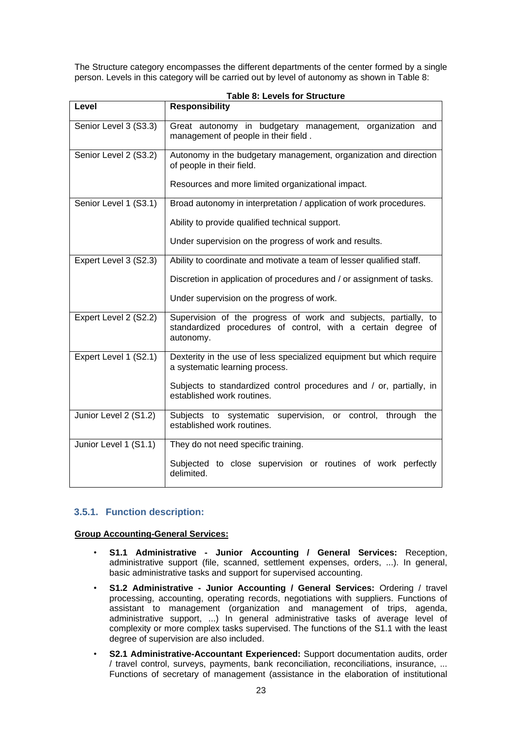The Structure category encompasses the different departments of the center formed by a single person. Levels in this category will be carried out by level of autonomy as shown in Table 8:

| Level                 | <b>Responsibility</b>                                                                                                                              |  |  |
|-----------------------|----------------------------------------------------------------------------------------------------------------------------------------------------|--|--|
| Senior Level 3 (S3.3) | Great autonomy in budgetary management, organization and<br>management of people in their field.                                                   |  |  |
| Senior Level 2 (S3.2) | Autonomy in the budgetary management, organization and direction<br>of people in their field.<br>Resources and more limited organizational impact. |  |  |
| Senior Level 1 (S3.1) | Broad autonomy in interpretation / application of work procedures.                                                                                 |  |  |
|                       | Ability to provide qualified technical support.                                                                                                    |  |  |
|                       | Under supervision on the progress of work and results.                                                                                             |  |  |
| Expert Level 3 (S2.3) | Ability to coordinate and motivate a team of lesser qualified staff.                                                                               |  |  |
|                       | Discretion in application of procedures and / or assignment of tasks.                                                                              |  |  |
|                       | Under supervision on the progress of work.                                                                                                         |  |  |
| Expert Level 2 (S2.2) | Supervision of the progress of work and subjects, partially, to<br>standardized procedures of control, with a certain degree of<br>autonomy.       |  |  |
| Expert Level 1 (S2.1) | Dexterity in the use of less specialized equipment but which require<br>a systematic learning process.                                             |  |  |
|                       | Subjects to standardized control procedures and / or, partially, in<br>established work routines.                                                  |  |  |
| Junior Level 2 (S1.2) | supervision, or control,<br>Subjects to systematic<br>through the<br>established work routines.                                                    |  |  |
| Junior Level 1 (S1.1) | They do not need specific training.                                                                                                                |  |  |
|                       | Subjected to close supervision or routines of work perfectly<br>delimited.                                                                         |  |  |

|  |  | <b>Table 8: Levels for Structure</b> |
|--|--|--------------------------------------|
|  |  |                                      |

# **3.5.1. Function description:**

## **Group Accounting-General Services:**

- **S1.1 Administrative - Junior Accounting / General Services:** Reception, administrative support (file, scanned, settlement expenses, orders, ...). In general, basic administrative tasks and support for supervised accounting.
- **S1.2 Administrative - Junior Accounting / General Services:** Ordering / travel processing, accounting, operating records, negotiations with suppliers. Functions of assistant to management (organization and management of trips, agenda, administrative support, ...) In general administrative tasks of average level of complexity or more complex tasks supervised. The functions of the S1.1 with the least degree of supervision are also included.
- **S2.1 Administrative-Accountant Experienced:** Support documentation audits, order / travel control, surveys, payments, bank reconciliation, reconciliations, insurance, ... Functions of secretary of management (assistance in the elaboration of institutional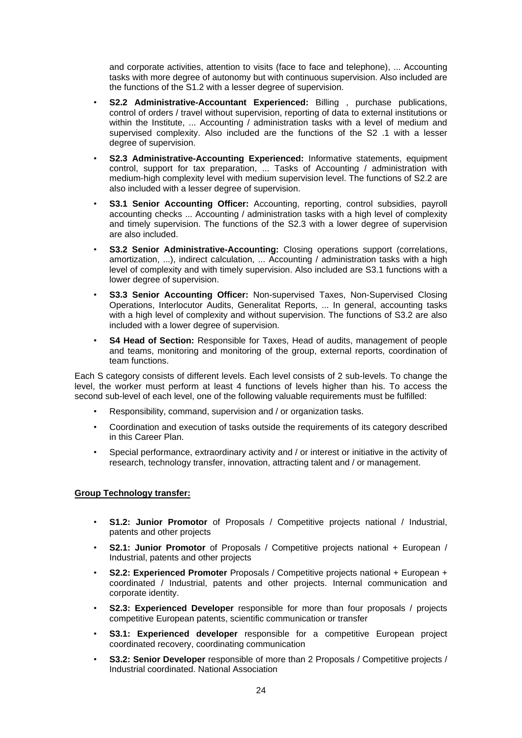and corporate activities, attention to visits (face to face and telephone), ... Accounting tasks with more degree of autonomy but with continuous supervision. Also included are the functions of the S1.2 with a lesser degree of supervision.

- **S2.2 Administrative-Accountant Experienced:** Billing , purchase publications, control of orders / travel without supervision, reporting of data to external institutions or within the Institute, ... Accounting / administration tasks with a level of medium and supervised complexity. Also included are the functions of the S2 .1 with a lesser degree of supervision.
- **S2.3 Administrative-Accounting Experienced:** Informative statements, equipment control, support for tax preparation, ... Tasks of Accounting / administration with medium-high complexity level with medium supervision level. The functions of S2.2 are also included with a lesser degree of supervision.
- **S3.1 Senior Accounting Officer:** Accounting, reporting, control subsidies, payroll accounting checks ... Accounting / administration tasks with a high level of complexity and timely supervision. The functions of the S2.3 with a lower degree of supervision are also included.
- **S3.2 Senior Administrative-Accounting:** Closing operations support (correlations, amortization, ...), indirect calculation, ... Accounting / administration tasks with a high level of complexity and with timely supervision. Also included are S3.1 functions with a lower degree of supervision.
- **S3.3 Senior Accounting Officer:** Non-supervised Taxes, Non-Supervised Closing Operations, Interlocutor Audits, Generalitat Reports, ... In general, accounting tasks with a high level of complexity and without supervision. The functions of S3.2 are also included with a lower degree of supervision.
- **S4 Head of Section:** Responsible for Taxes, Head of audits, management of people and teams, monitoring and monitoring of the group, external reports, coordination of team functions.

Each S category consists of different levels. Each level consists of 2 sub-levels. To change the level, the worker must perform at least 4 functions of levels higher than his. To access the second sub-level of each level, one of the following valuable requirements must be fulfilled:

- Responsibility, command, supervision and / or organization tasks.
- Coordination and execution of tasks outside the requirements of its category described in this Career Plan.
- Special performance, extraordinary activity and / or interest or initiative in the activity of research, technology transfer, innovation, attracting talent and / or management.

## **Group Technology transfer:**

- **S1.2: Junior Promotor** of Proposals / Competitive projects national / Industrial, patents and other projects
- **S2.1: Junior Promotor** of Proposals / Competitive projects national + European / Industrial, patents and other projects
- **S2.2: Experienced Promoter** Proposals / Competitive projects national + European + coordinated / Industrial, patents and other projects. Internal communication and corporate identity.
- **S2.3: Experienced Developer** responsible for more than four proposals / projects competitive European patents, scientific communication or transfer
- **S3.1: Experienced developer** responsible for a competitive European project coordinated recovery, coordinating communication
- **S3.2: Senior Developer** responsible of more than 2 Proposals / Competitive projects / Industrial coordinated. National Association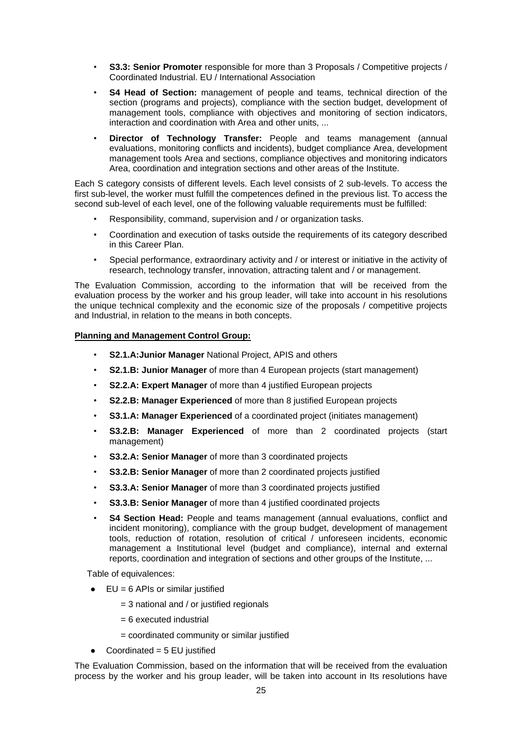- **S3.3: Senior Promoter** responsible for more than 3 Proposals / Competitive projects / Coordinated Industrial. EU / International Association
- **S4 Head of Section:** management of people and teams, technical direction of the section (programs and projects), compliance with the section budget, development of management tools, compliance with objectives and monitoring of section indicators, interaction and coordination with Area and other units, ...
- **Director of Technology Transfer:** People and teams management (annual evaluations, monitoring conflicts and incidents), budget compliance Area, development management tools Area and sections, compliance objectives and monitoring indicators Area, coordination and integration sections and other areas of the Institute.

Each S category consists of different levels. Each level consists of 2 sub-levels. To access the first sub-level, the worker must fulfill the competences defined in the previous list. To access the second sub-level of each level, one of the following valuable requirements must be fulfilled:

- Responsibility, command, supervision and / or organization tasks.
- Coordination and execution of tasks outside the requirements of its category described in this Career Plan.
- Special performance, extraordinary activity and / or interest or initiative in the activity of research, technology transfer, innovation, attracting talent and / or management.

The Evaluation Commission, according to the information that will be received from the evaluation process by the worker and his group leader, will take into account in his resolutions the unique technical complexity and the economic size of the proposals / competitive projects and Industrial, in relation to the means in both concepts.

## **Planning and Management Control Group:**

- **S2.1.A:Junior Manager** National Project, APIS and others
- **S2.1.B: Junior Manager** of more than 4 European projects (start management)
- **S2.2.A: Expert Manager** of more than 4 justified European projects
- **S2.2.B: Manager Experienced** of more than 8 justified European projects
- **S3.1.A: Manager Experienced** of a coordinated project (initiates management)
- **S3.2.B: Manager Experienced** of more than 2 coordinated projects (start management)
- **S3.2.A: Senior Manager** of more than 3 coordinated projects
- **S3.2.B: Senior Manager** of more than 2 coordinated projects justified
- **S3.3.A: Senior Manager** of more than 3 coordinated projects justified
- **S3.3.B: Senior Manager** of more than 4 justified coordinated projects
- **S4 Section Head:** People and teams management (annual evaluations, conflict and incident monitoring), compliance with the group budget, development of management tools, reduction of rotation, resolution of critical / unforeseen incidents, economic management a Institutional level (budget and compliance), internal and external reports, coordination and integration of sections and other groups of the Institute, ...

Table of equivalences:

- $\bullet$  EU = 6 APIs or similar justified
	- $=$  3 national and / or justified regionals
	- = 6 executed industrial
	- = coordinated community or similar justified
- $\bullet$  Coordinated = 5 EU justified

The Evaluation Commission, based on the information that will be received from the evaluation process by the worker and his group leader, will be taken into account in Its resolutions have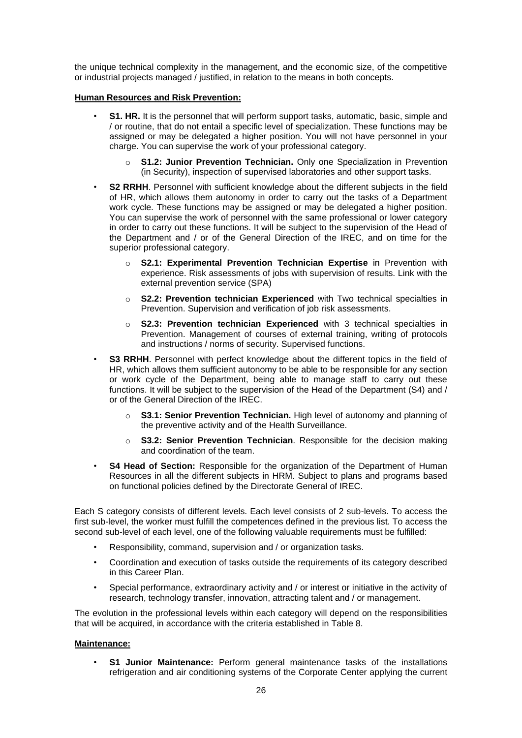the unique technical complexity in the management, and the economic size, of the competitive or industrial projects managed / justified, in relation to the means in both concepts.

## **Human Resources and Risk Prevention:**

- **S1. HR.** It is the personnel that will perform support tasks, automatic, basic, simple and / or routine, that do not entail a specific level of specialization. These functions may be assigned or may be delegated a higher position. You will not have personnel in your charge. You can supervise the work of your professional category.
	- **S1.2: Junior Prevention Technician.** Only one Specialization in Prevention (in Security), inspection of supervised laboratories and other support tasks.
- **S2 RRHH**. Personnel with sufficient knowledge about the different subjects in the field of HR, which allows them autonomy in order to carry out the tasks of a Department work cycle. These functions may be assigned or may be delegated a higher position. You can supervise the work of personnel with the same professional or lower category in order to carry out these functions. It will be subject to the supervision of the Head of the Department and / or of the General Direction of the IREC, and on time for the superior professional category.
	- **S2.1: Experimental Prevention Technician Expertise** in Prevention with experience. Risk assessments of jobs with supervision of results. Link with the external prevention service (SPA)
	- o **S2.2: Prevention technician Experienced** with Two technical specialties in Prevention. Supervision and verification of job risk assessments.
	- o **S2.3: Prevention technician Experienced** with 3 technical specialties in Prevention. Management of courses of external training, writing of protocols and instructions / norms of security. Supervised functions.
- **S3 RRHH**. Personnel with perfect knowledge about the different topics in the field of HR, which allows them sufficient autonomy to be able to be responsible for any section or work cycle of the Department, being able to manage staff to carry out these functions. It will be subject to the supervision of the Head of the Department (S4) and / or of the General Direction of the IREC.
	- o **S3.1: Senior Prevention Technician.** High level of autonomy and planning of the preventive activity and of the Health Surveillance.
	- o **S3.2: Senior Prevention Technician**. Responsible for the decision making and coordination of the team.
- **S4 Head of Section:** Responsible for the organization of the Department of Human Resources in all the different subjects in HRM. Subject to plans and programs based on functional policies defined by the Directorate General of IREC.

Each S category consists of different levels. Each level consists of 2 sub-levels. To access the first sub-level, the worker must fulfill the competences defined in the previous list. To access the second sub-level of each level, one of the following valuable requirements must be fulfilled:

- Responsibility, command, supervision and / or organization tasks.
- Coordination and execution of tasks outside the requirements of its category described in this Career Plan.
- Special performance, extraordinary activity and / or interest or initiative in the activity of research, technology transfer, innovation, attracting talent and / or management.

The evolution in the professional levels within each category will depend on the responsibilities that will be acquired, in accordance with the criteria established in Table 8.

## **Maintenance:**

• **S1 Junior Maintenance:** Perform general maintenance tasks of the installations refrigeration and air conditioning systems of the Corporate Center applying the current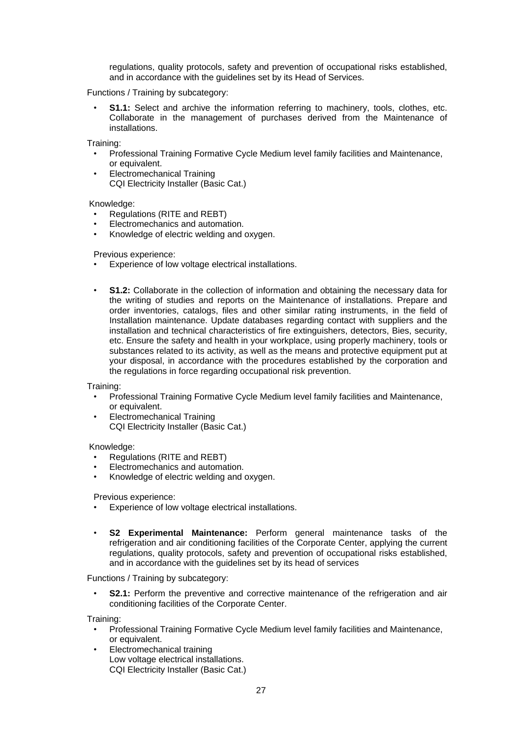regulations, quality protocols, safety and prevention of occupational risks established, and in accordance with the guidelines set by its Head of Services.

Functions / Training by subcategory:

**S1.1:** Select and archive the information referring to machinery, tools, clothes, etc. Collaborate in the management of purchases derived from the Maintenance of installations.

Training:

- Professional Training Formative Cycle Medium level family facilities and Maintenance, or equivalent.
- Electromechanical Training CQI Electricity Installer (Basic Cat.)

Knowledge:

- Regulations (RITE and REBT)
- Electromechanics and automation.
- Knowledge of electric welding and oxygen.

Previous experience:

- Experience of low voltage electrical installations.
- **S1.2:** Collaborate in the collection of information and obtaining the necessary data for the writing of studies and reports on the Maintenance of installations. Prepare and order inventories, catalogs, files and other similar rating instruments, in the field of Installation maintenance. Update databases regarding contact with suppliers and the installation and technical characteristics of fire extinguishers, detectors, Bies, security, etc. Ensure the safety and health in your workplace, using properly machinery, tools or substances related to its activity, as well as the means and protective equipment put at your disposal, in accordance with the procedures established by the corporation and the regulations in force regarding occupational risk prevention.

Training:

- Professional Training Formative Cycle Medium level family facilities and Maintenance, or equivalent.
- Electromechanical Training CQI Electricity Installer (Basic Cat.)

Knowledge:

- Regulations (RITE and REBT)
- Electromechanics and automation.
- Knowledge of electric welding and oxygen.

Previous experience:

- Experience of low voltage electrical installations.
- **S2 Experimental Maintenance:** Perform general maintenance tasks of the refrigeration and air conditioning facilities of the Corporate Center, applying the current regulations, quality protocols, safety and prevention of occupational risks established, and in accordance with the guidelines set by its head of services

Functions / Training by subcategory:

**S2.1:** Perform the preventive and corrective maintenance of the refrigeration and air conditioning facilities of the Corporate Center.

Training:

- Professional Training Formative Cycle Medium level family facilities and Maintenance, or equivalent.
- Electromechanical training Low voltage electrical installations. CQI Electricity Installer (Basic Cat.)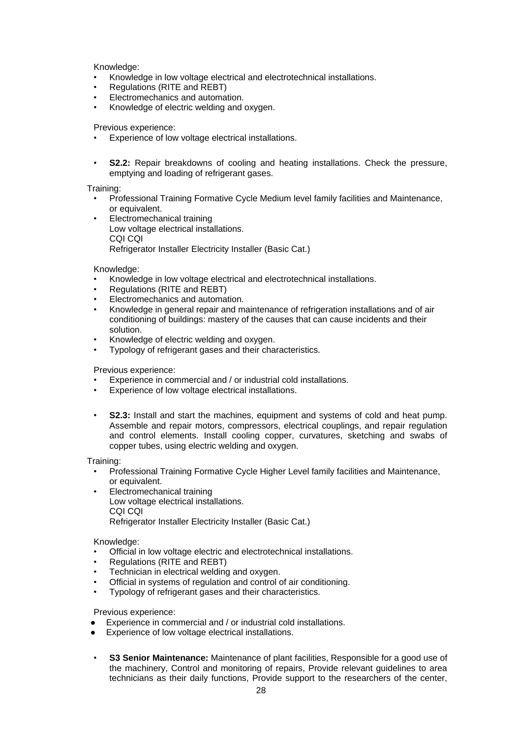Knowledge:

- Knowledge in low voltage electrical and electrotechnical installations.
- Regulations (RITE and REBT)
- Electromechanics and automation.
- Knowledge of electric welding and oxygen.

#### Previous experience:

- Experience of low voltage electrical installations.
- **S2.2:** Repair breakdowns of cooling and heating installations. Check the pressure, emptying and loading of refrigerant gases.

#### Training:

- Professional Training Formative Cycle Medium level family facilities and Maintenance, or equivalent.
- Electromechanical training Low voltage electrical installations. CQI CQI Refrigerator Installer Electricity Installer (Basic Cat.)

#### Knowledge:

- Knowledge in low voltage electrical and electrotechnical installations.
- Regulations (RITE and REBT)
- Electromechanics and automation.
- Knowledge in general repair and maintenance of refrigeration installations and of air conditioning of buildings: mastery of the causes that can cause incidents and their solution.
- Knowledge of electric welding and oxygen.
- Typology of refrigerant gases and their characteristics.

#### Previous experience:

- Experience in commercial and / or industrial cold installations.
- Experience of low voltage electrical installations.
- **S2.3:** Install and start the machines, equipment and systems of cold and heat pump. Assemble and repair motors, compressors, electrical couplings, and repair regulation and control elements. Install cooling copper, curvatures, sketching and swabs of copper tubes, using electric welding and oxygen.

Training:

- Professional Training Formative Cycle Higher Level family facilities and Maintenance, or equivalent.
- Electromechanical training Low voltage electrical installations. CQI CQI Refrigerator Installer Electricity Installer (Basic Cat.)

#### Knowledge:

- Official in low voltage electric and electrotechnical installations.
- Regulations (RITE and REBT)
- Technician in electrical welding and oxygen.
- Official in systems of regulation and control of air conditioning.
- Typology of refrigerant gases and their characteristics.

Previous experience:

- Experience in commercial and / or industrial cold installations.
- Experience of low voltage electrical installations.
- **S3 Senior Maintenance:** Maintenance of plant facilities, Responsible for a good use of the machinery, Control and monitoring of repairs, Provide relevant guidelines to area technicians as their daily functions, Provide support to the researchers of the center,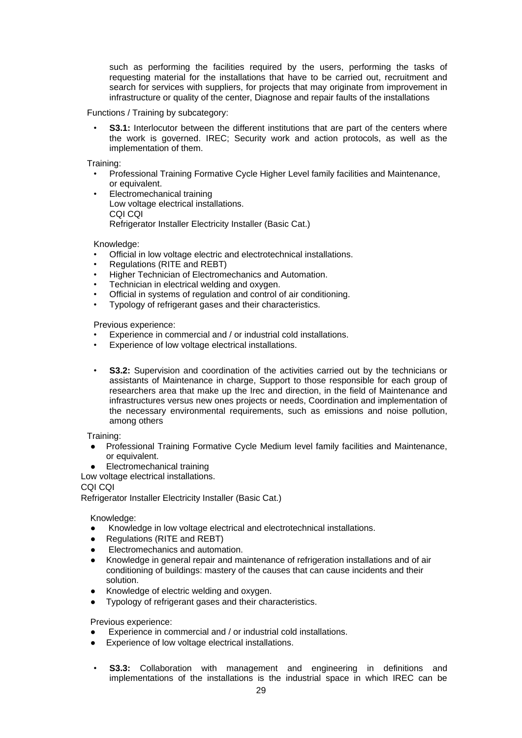such as performing the facilities required by the users, performing the tasks of requesting material for the installations that have to be carried out, recruitment and search for services with suppliers, for projects that may originate from improvement in infrastructure or quality of the center, Diagnose and repair faults of the installations

Functions / Training by subcategory:

**S3.1:** Interlocutor between the different institutions that are part of the centers where the work is governed. IREC; Security work and action protocols, as well as the implementation of them.

Training:

- Professional Training Formative Cycle Higher Level family facilities and Maintenance, or equivalent.
- Electromechanical training Low voltage electrical installations. CQI CQI Refrigerator Installer Electricity Installer (Basic Cat.)

Knowledge:

- Official in low voltage electric and electrotechnical installations.
- Regulations (RITE and REBT)
- Higher Technician of Electromechanics and Automation.
- Technician in electrical welding and oxygen.
- Official in systems of regulation and control of air conditioning.
- Typology of refrigerant gases and their characteristics.

Previous experience:

- Experience in commercial and / or industrial cold installations.
- Experience of low voltage electrical installations.
- **S3.2:** Supervision and coordination of the activities carried out by the technicians or assistants of Maintenance in charge, Support to those responsible for each group of researchers area that make up the Irec and direction, in the field of Maintenance and infrastructures versus new ones projects or needs, Coordination and implementation of the necessary environmental requirements, such as emissions and noise pollution, among others

Training:

- Professional Training Formative Cycle Medium level family facilities and Maintenance, or equivalent.
- Electromechanical training

Low voltage electrical installations.

CQI CQI

Refrigerator Installer Electricity Installer (Basic Cat.)

Knowledge:

- Knowledge in low voltage electrical and electrotechnical installations.
- Regulations (RITE and REBT)
- **Electromechanics and automation.**
- Knowledge in general repair and maintenance of refrigeration installations and of air conditioning of buildings: mastery of the causes that can cause incidents and their solution.
- Knowledge of electric welding and oxygen.
- Typology of refrigerant gases and their characteristics.

Previous experience:

- Experience in commercial and / or industrial cold installations.
- Experience of low voltage electrical installations.
- **S3.3:** Collaboration with management and engineering in definitions and implementations of the installations is the industrial space in which IREC can be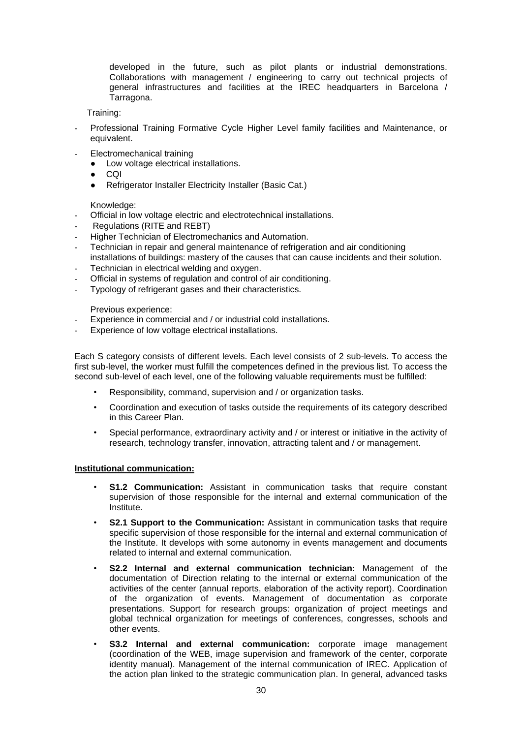developed in the future, such as pilot plants or industrial demonstrations. Collaborations with management / engineering to carry out technical projects of general infrastructures and facilities at the IREC headquarters in Barcelona / Tarragona.

Training:

- Professional Training Formative Cycle Higher Level family facilities and Maintenance, or equivalent.
- Electromechanical training
	- Low voltage electrical installations.
	- CQI
	- Refrigerator Installer Electricity Installer (Basic Cat.)

Knowledge:

- Official in low voltage electric and electrotechnical installations.
- Regulations (RITE and REBT)
- Higher Technician of Electromechanics and Automation.
- Technician in repair and general maintenance of refrigeration and air conditioning installations of buildings: mastery of the causes that can cause incidents and their solution.
- Technician in electrical welding and oxygen.
- Official in systems of regulation and control of air conditioning.
- Typology of refrigerant gases and their characteristics.

Previous experience:

- Experience in commercial and / or industrial cold installations.
- Experience of low voltage electrical installations.

Each S category consists of different levels. Each level consists of 2 sub-levels. To access the first sub-level, the worker must fulfill the competences defined in the previous list. To access the second sub-level of each level, one of the following valuable requirements must be fulfilled:

- Responsibility, command, supervision and / or organization tasks.
- Coordination and execution of tasks outside the requirements of its category described in this Career Plan.
- Special performance, extraordinary activity and / or interest or initiative in the activity of research, technology transfer, innovation, attracting talent and / or management.

#### **Institutional communication:**

- **S1.2 Communication:** Assistant in communication tasks that require constant supervision of those responsible for the internal and external communication of the Institute.
- **S2.1 Support to the Communication:** Assistant in communication tasks that require specific supervision of those responsible for the internal and external communication of the Institute. It develops with some autonomy in events management and documents related to internal and external communication.
- **S2.2 Internal and external communication technician:** Management of the documentation of Direction relating to the internal or external communication of the activities of the center (annual reports, elaboration of the activity report). Coordination of the organization of events. Management of documentation as corporate presentations. Support for research groups: organization of project meetings and global technical organization for meetings of conferences, congresses, schools and other events.
- **S3.2 Internal and external communication:** corporate image management (coordination of the WEB, image supervision and framework of the center, corporate identity manual). Management of the internal communication of IREC. Application of the action plan linked to the strategic communication plan. In general, advanced tasks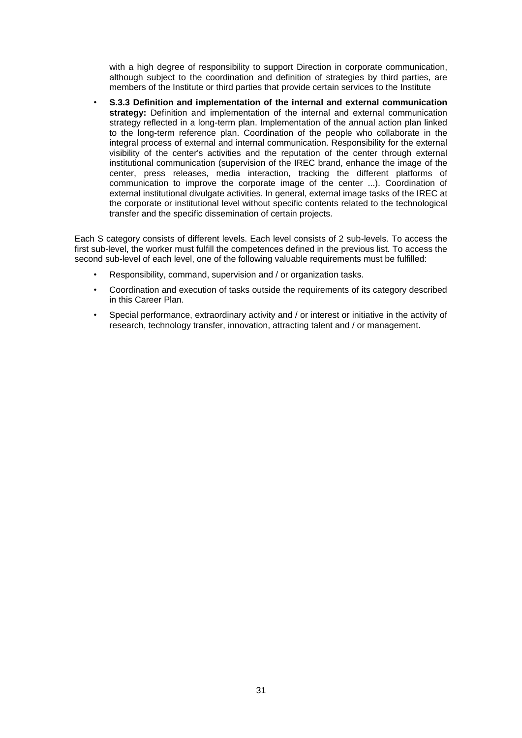with a high degree of responsibility to support Direction in corporate communication, although subject to the coordination and definition of strategies by third parties, are members of the Institute or third parties that provide certain services to the Institute

• **S.3.3 Definition and implementation of the internal and external communication strategy:** Definition and implementation of the internal and external communication strategy reflected in a long-term plan. Implementation of the annual action plan linked to the long-term reference plan. Coordination of the people who collaborate in the integral process of external and internal communication. Responsibility for the external visibility of the center's activities and the reputation of the center through external institutional communication (supervision of the IREC brand, enhance the image of the center, press releases, media interaction, tracking the different platforms of communication to improve the corporate image of the center ...). Coordination of external institutional divulgate activities. In general, external image tasks of the IREC at the corporate or institutional level without specific contents related to the technological transfer and the specific dissemination of certain projects.

Each S category consists of different levels. Each level consists of 2 sub-levels. To access the first sub-level, the worker must fulfill the competences defined in the previous list. To access the second sub-level of each level, one of the following valuable requirements must be fulfilled:

- Responsibility, command, supervision and / or organization tasks.
- Coordination and execution of tasks outside the requirements of its category described in this Career Plan.
- Special performance, extraordinary activity and / or interest or initiative in the activity of research, technology transfer, innovation, attracting talent and / or management.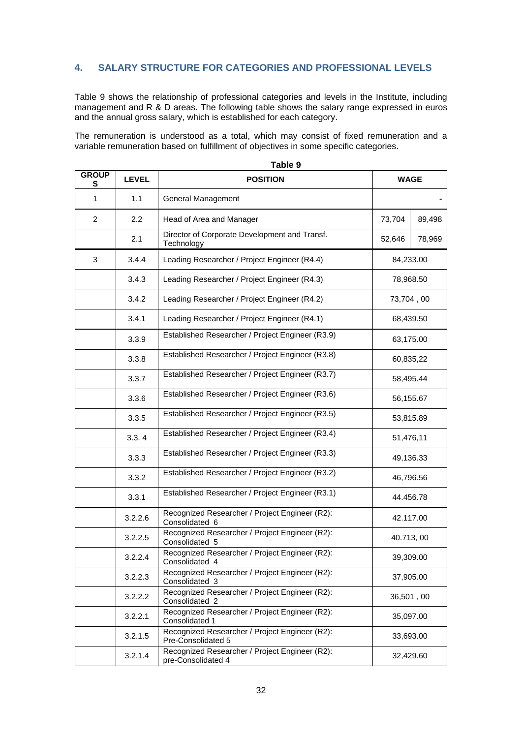# **4. SALARY STRUCTURE FOR CATEGORIES AND PROFESSIONAL LEVELS**

Table 9 shows the relationship of professional categories and levels in the Institute, including management and R & D areas. The following table shows the salary range expressed in euros and the annual gross salary, which is established for each category.

The remuneration is understood as a total, which may consist of fixed remuneration and a variable remuneration based on fulfillment of objectives in some specific categories.

| <b>GROUP</b><br>s | <b>LEVEL</b> | i anie a<br><b>POSITION</b>                                                       | <b>WAGE</b> |           |
|-------------------|--------------|-----------------------------------------------------------------------------------|-------------|-----------|
| $\mathbf{1}$      | 1.1          | General Management                                                                |             |           |
| $\overline{2}$    | 2.2          | Head of Area and Manager                                                          | 73,704      | 89,498    |
|                   | 2.1          | Director of Corporate Development and Transf.<br>Technology                       | 52,646      | 78,969    |
| 3                 | 3.4.4        | Leading Researcher / Project Engineer (R4.4)                                      |             | 84,233.00 |
|                   | 3.4.3        | Leading Researcher / Project Engineer (R4.3)                                      |             | 78,968.50 |
|                   | 3.4.2        | Leading Researcher / Project Engineer (R4.2)                                      |             | 73,704,00 |
|                   | 3.4.1        | Leading Researcher / Project Engineer (R4.1)                                      |             | 68,439.50 |
|                   | 3.3.9        | Established Researcher / Project Engineer (R3.9)                                  |             | 63,175.00 |
|                   | 3.3.8        | Established Researcher / Project Engineer (R3.8)                                  |             | 60,835,22 |
|                   | 3.3.7        | Established Researcher / Project Engineer (R3.7)                                  |             | 58,495.44 |
|                   | 3.3.6        | Established Researcher / Project Engineer (R3.6)                                  | 56,155.67   |           |
|                   | 3.3.5        | Established Researcher / Project Engineer (R3.5)                                  | 53,815.89   |           |
|                   | 3.3.4        | Established Researcher / Project Engineer (R3.4)                                  | 51,476,11   |           |
|                   | 3.3.3        | Established Researcher / Project Engineer (R3.3)                                  | 49,136.33   |           |
|                   | 3.3.2        | Established Researcher / Project Engineer (R3.2)                                  | 46,796.56   |           |
|                   | 3.3.1        | Established Researcher / Project Engineer (R3.1)                                  | 44.456.78   |           |
|                   | 3.2.2.6      | Recognized Researcher / Project Engineer (R2):<br>Consolidated 6                  | 42.117.00   |           |
|                   | 3.2.2.5      | Recognized Researcher / Project Engineer (R2):<br>Consolidated 5                  | 40.713, 00  |           |
|                   | 3.2.2.4      | Recognized Researcher / Project Engineer (R2):<br>Consolidated 4                  | 39,309.00   |           |
|                   | 3.2.2.3      | Recognized Researcher / Project Engineer (R2):<br>Consolidated 3                  | 37,905.00   |           |
|                   | 3.2.2.2      | Recognized Researcher / Project Engineer (R2):<br>Consolidated 2                  | 36,501,00   |           |
|                   | 3.2.2.1      | Recognized Researcher / Project Engineer (R2):<br>Consolidated 1                  | 35,097.00   |           |
|                   | 3.2.1.5      | Recognized Researcher / Project Engineer (R2):<br>33,693.00<br>Pre-Consolidated 5 |             |           |
|                   | 3.2.1.4      | Recognized Researcher / Project Engineer (R2):<br>pre-Consolidated 4              |             | 32,429.60 |

**Table 9**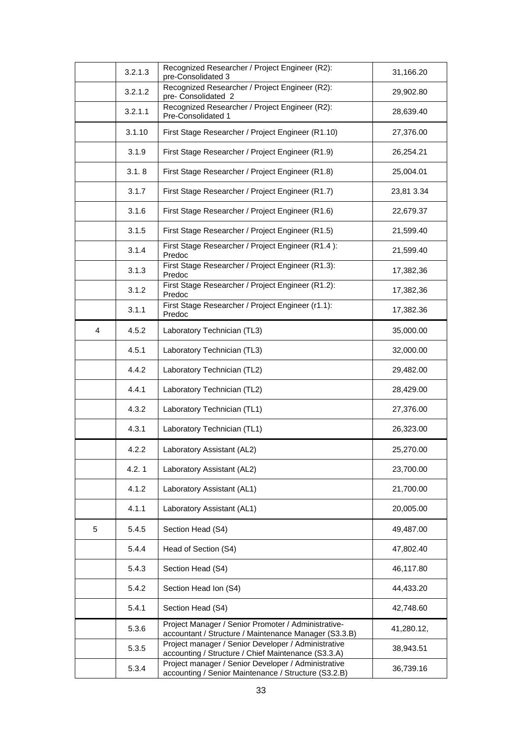|                | 3.2.1.3 | Recognized Researcher / Project Engineer (R2):<br>pre-Consolidated 3                                         | 31,166.20  |
|----------------|---------|--------------------------------------------------------------------------------------------------------------|------------|
|                | 3.2.1.2 | Recognized Researcher / Project Engineer (R2):<br>pre- Consolidated 2                                        | 29,902.80  |
|                | 3.2.1.1 | Recognized Researcher / Project Engineer (R2):<br>Pre-Consolidated 1                                         | 28,639.40  |
|                | 3.1.10  | First Stage Researcher / Project Engineer (R1.10)                                                            | 27,376.00  |
|                | 3.1.9   | First Stage Researcher / Project Engineer (R1.9)                                                             | 26,254.21  |
|                | 3.1.8   | First Stage Researcher / Project Engineer (R1.8)                                                             | 25,004.01  |
|                | 3.1.7   | First Stage Researcher / Project Engineer (R1.7)                                                             | 23,81 3.34 |
|                | 3.1.6   | First Stage Researcher / Project Engineer (R1.6)                                                             | 22,679.37  |
|                | 3.1.5   | First Stage Researcher / Project Engineer (R1.5)                                                             | 21,599.40  |
|                | 3.1.4   | First Stage Researcher / Project Engineer (R1.4):<br>Predoc                                                  | 21,599.40  |
|                | 3.1.3   | First Stage Researcher / Project Engineer (R1.3):<br>Predoc                                                  | 17,382,36  |
|                | 3.1.2   | First Stage Researcher / Project Engineer (R1.2):<br>Predoc                                                  | 17,382,36  |
|                | 3.1.1   | First Stage Researcher / Project Engineer (r1.1):<br>Predoc                                                  | 17,382.36  |
| $\overline{4}$ | 4.5.2   | Laboratory Technician (TL3)                                                                                  | 35,000.00  |
|                | 4.5.1   | Laboratory Technician (TL3)                                                                                  | 32,000.00  |
|                | 4.4.2   | Laboratory Technician (TL2)                                                                                  | 29,482.00  |
|                | 4.4.1   | Laboratory Technician (TL2)                                                                                  | 28,429.00  |
|                | 4.3.2   | Laboratory Technician (TL1)                                                                                  | 27,376.00  |
|                | 4.3.1   | Laboratory Technician (TL1)                                                                                  | 26,323.00  |
|                | 4.2.2   | Laboratory Assistant (AL2)                                                                                   | 25,270.00  |
|                | 4.2.1   | Laboratory Assistant (AL2)                                                                                   | 23,700.00  |
|                | 4.1.2   | Laboratory Assistant (AL1)                                                                                   | 21,700.00  |
|                | 4.1.1   | Laboratory Assistant (AL1)                                                                                   | 20,005.00  |
| 5              | 5.4.5   | Section Head (S4)                                                                                            | 49,487.00  |
|                | 5.4.4   | Head of Section (S4)                                                                                         | 47,802.40  |
|                | 5.4.3   | Section Head (S4)                                                                                            | 46,117.80  |
|                | 5.4.2   | Section Head Ion (S4)                                                                                        | 44,433.20  |
|                | 5.4.1   | Section Head (S4)                                                                                            | 42,748.60  |
|                | 5.3.6   | Project Manager / Senior Promoter / Administrative-<br>accountant / Structure / Maintenance Manager (S3.3.B) | 41,280.12, |
|                | 5.3.5   | Project manager / Senior Developer / Administrative<br>accounting / Structure / Chief Maintenance (S3.3.A)   | 38,943.51  |
|                | 5.3.4   | Project manager / Senior Developer / Administrative<br>accounting / Senior Maintenance / Structure (S3.2.B)  | 36,739.16  |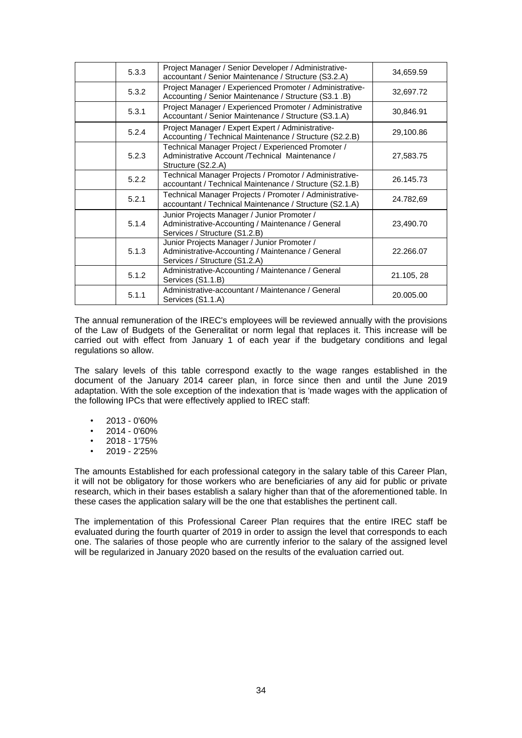| 5.3.3 | Project Manager / Senior Developer / Administrative-<br>accountant / Senior Maintenance / Structure (S3.2.A)                      | 34,659.59  |
|-------|-----------------------------------------------------------------------------------------------------------------------------------|------------|
| 5.3.2 | Project Manager / Experienced Promoter / Administrative-<br>Accounting / Senior Maintenance / Structure (S3.1 .B)                 | 32,697.72  |
| 5.3.1 | Project Manager / Experienced Promoter / Administrative<br>Accountant / Senior Maintenance / Structure (S3.1.A)                   | 30,846.91  |
| 5.2.4 | Project Manager / Expert Expert / Administrative-<br>Accounting / Technical Maintenance / Structure (S2.2.B)                      | 29,100.86  |
| 5.2.3 | Technical Manager Project / Experienced Promoter /<br>Administrative Account /Technical Maintenance /<br>Structure (S2.2.A)       | 27,583.75  |
| 5.2.2 | Technical Manager Projects / Promotor / Administrative-<br>accountant / Technical Maintenance / Structure (S2.1.B)                | 26.145.73  |
| 5.2.1 | Technical Manager Projects / Promoter / Administrative-<br>accountant / Technical Maintenance / Structure (S2.1.A)                | 24.782,69  |
| 5.1.4 | Junior Projects Manager / Junior Promoter /<br>Administrative-Accounting / Maintenance / General<br>Services / Structure (S1.2.B) | 23,490.70  |
| 5.1.3 | Junior Projects Manager / Junior Promoter /<br>Administrative-Accounting / Maintenance / General<br>Services / Structure (S1.2.A) | 22.266.07  |
| 5.1.2 | Administrative-Accounting / Maintenance / General<br>Services (S1.1.B)                                                            | 21.105, 28 |
| 5.1.1 | Administrative-accountant / Maintenance / General<br>Services (S1.1.A)                                                            | 20.005.00  |

The annual remuneration of the IREC's employees will be reviewed annually with the provisions of the Law of Budgets of the Generalitat or norm legal that replaces it. This increase will be carried out with effect from January 1 of each year if the budgetary conditions and legal regulations so allow.

The salary levels of this table correspond exactly to the wage ranges established in the document of the January 2014 career plan, in force since then and until the June 2019 adaptation. With the sole exception of the indexation that is 'made wages with the application of the following IPCs that were effectively applied to IREC staff:

- $\cdot$  2013 0'60%
- $\cdot$  2014 0'60%
- 2018 1'75%
- 2019 2'25%

The amounts Established for each professional category in the salary table of this Career Plan, it will not be obligatory for those workers who are beneficiaries of any aid for public or private research, which in their bases establish a salary higher than that of the aforementioned table. In these cases the application salary will be the one that establishes the pertinent call.

The implementation of this Professional Career Plan requires that the entire IREC staff be evaluated during the fourth quarter of 2019 in order to assign the level that corresponds to each one. The salaries of those people who are currently inferior to the salary of the assigned level will be regularized in January 2020 based on the results of the evaluation carried out.